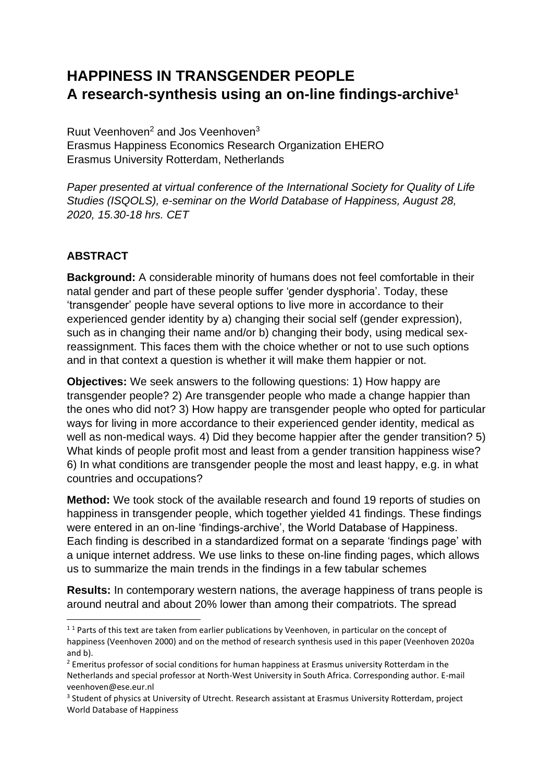# **HAPPINESS IN TRANSGENDER PEOPLE A research-synthesis using an on-line findings-archive<sup>1</sup>**

Ruut Veenhoven<sup>2</sup> and Jos Veenhoven<sup>3</sup> Erasmus Happiness Economics Research Organization EHERO Erasmus University Rotterdam, Netherlands

*Paper presented at virtual conference of the International Society for Quality of Life Studies (ISQOLS), e-seminar on the World Database of Happiness, August 28, 2020, 15.30-18 hrs. CET*

## **ABSTRACT**

**Background:** A considerable minority of humans does not feel comfortable in their natal gender and part of these people suffer 'gender dysphoria'. Today, these 'transgender' people have several options to live more in accordance to their experienced gender identity by a) changing their social self (gender expression), such as in changing their name and/or b) changing their body, using medical sexreassignment. This faces them with the choice whether or not to use such options and in that context a question is whether it will make them happier or not.

**Objectives:** We seek answers to the following questions: 1) How happy are transgender people? 2) Are transgender people who made a change happier than the ones who did not? 3) How happy are transgender people who opted for particular ways for living in more accordance to their experienced gender identity, medical as well as non-medical ways. 4) Did they become happier after the gender transition? 5) What kinds of people profit most and least from a gender transition happiness wise? 6) In what conditions are transgender people the most and least happy, e.g. in what countries and occupations?

**Method:** We took stock of the available research and found 19 reports of studies on happiness in transgender people, which together yielded 41 findings. These findings were entered in an on-line 'findings-archive', the World Database of Happiness. Each finding is described in a standardized format on a separate 'findings page' with a unique internet address. We use links to these on-line finding pages, which allows us to summarize the main trends in the findings in a few tabular schemes

**Results:** In contemporary western nations, the average happiness of trans people is around neutral and about 20% lower than among their compatriots. The spread

<sup>&</sup>lt;sup>11</sup> Parts of this text are taken from earlier publications by Veenhoven, in particular on the concept of happiness (Veenhoven 2000) and on the method of research synthesis used in this paper (Veenhoven 2020a and b).

<sup>&</sup>lt;sup>2</sup> Emeritus professor of social conditions for human happiness at Erasmus university Rotterdam in the Netherlands and special professor at North-West University in South Africa. Corresponding author. E-mail veenhoven@ese.eur.nl

<sup>&</sup>lt;sup>3</sup> Student of physics at University of Utrecht. Research assistant at Erasmus University Rotterdam, project World Database of Happiness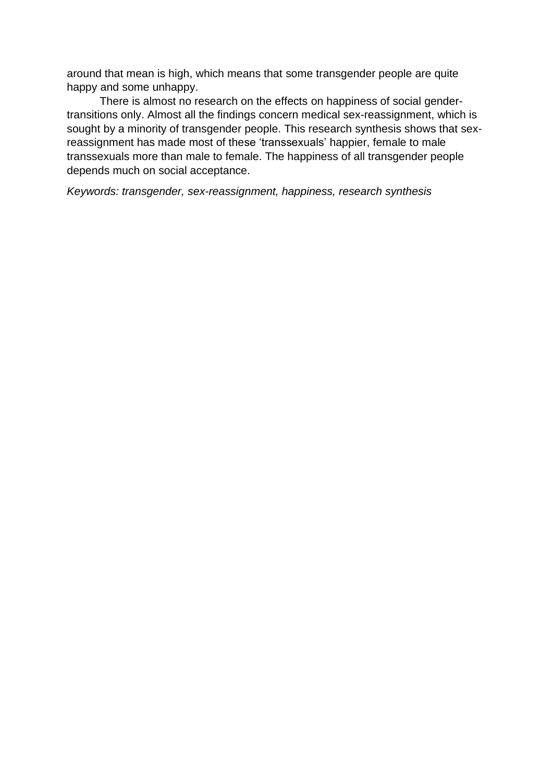around that mean is high, which means that some transgender people are quite happy and some unhappy.

There is almost no research on the effects on happiness of social gendertransitions only. Almost all the findings concern medical sex-reassignment, which is sought by a minority of transgender people. This research synthesis shows that sexreassignment has made most of these 'transsexuals' happier, female to male transsexuals more than male to female. The happiness of all transgender people depends much on social acceptance.

*Keywords: transgender, sex-reassignment, happiness, research synthesis*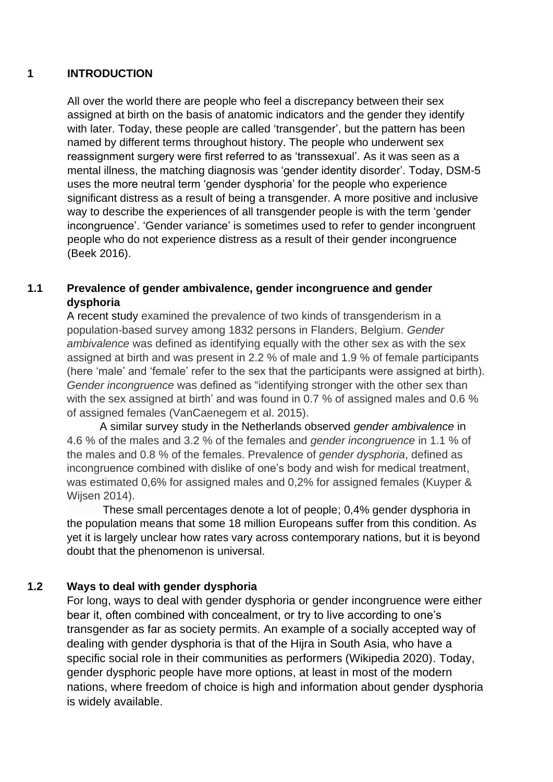## **1 INTRODUCTION**

All over the world there are people who feel a discrepancy between their sex assigned at birth on the basis of anatomic indicators and the gender they identify with later. Today, these people are called 'transgender', but the pattern has been named by different terms throughout history. The people who underwent sex reassignment surgery were first referred to as 'transsexual'. As it was seen as a mental illness, the matching diagnosis was 'gender identity disorder'. Today, DSM-5 uses the more neutral term 'gender dysphoria' for the people who experience significant distress as a result of being a transgender. A more positive and inclusive way to describe the experiences of all transgender people is with the term 'gender incongruence'. 'Gender variance' is sometimes used to refer to gender incongruent people who do not experience distress as a result of their gender incongruence (Beek 2016).

## **1.1 Prevalence of gender ambivalence, gender incongruence and gender dysphoria**

A recent study examined the prevalence of two kinds of transgenderism in a population-based survey among 1832 persons in Flanders, Belgium. *Gender ambivalence* was defined as identifying equally with the other sex as with the sex assigned at birth and was present in 2.2 % of male and 1.9 % of female participants (here 'male' and 'female' refer to the sex that the participants were assigned at birth). *Gender incongruence* was defined as "identifying stronger with the other sex than with the sex assigned at birth' and was found in 0.7 % of assigned males and 0.6 % of assigned females (VanCaenegem et al. 2015).

A similar survey study in the Netherlands observed *gender ambivalence* in 4.6 % of the males and 3.2 % of the females and *gender incongruence* in 1.1 % of the males and 0.8 % of the females. Prevalence of *gender dysphoria*, defined as incongruence combined with dislike of one's body and wish for medical treatment, was estimated 0,6% for assigned males and 0,2% for assigned females (Kuyper & Wijsen 2014).

These small percentages denote a lot of people; 0,4% gender dysphoria in the population means that some 18 million Europeans suffer from this condition. As yet it is largely unclear how rates vary across contemporary nations, but it is beyond doubt that the phenomenon is universal.

## **1.2 Ways to deal with gender dysphoria**

For long, ways to deal with gender dysphoria or gender incongruence were either bear it, often combined with concealment, or try to live according to one's transgender as far as society permits. An example of a socially accepted way of dealing with gender dysphoria is that of the Hijra in South Asia, who have a specific social role in their communities as performers (Wikipedia 2020). Today, gender dysphoric people have more options, at least in most of the modern nations, where freedom of choice is high and information about gender dysphoria is widely available.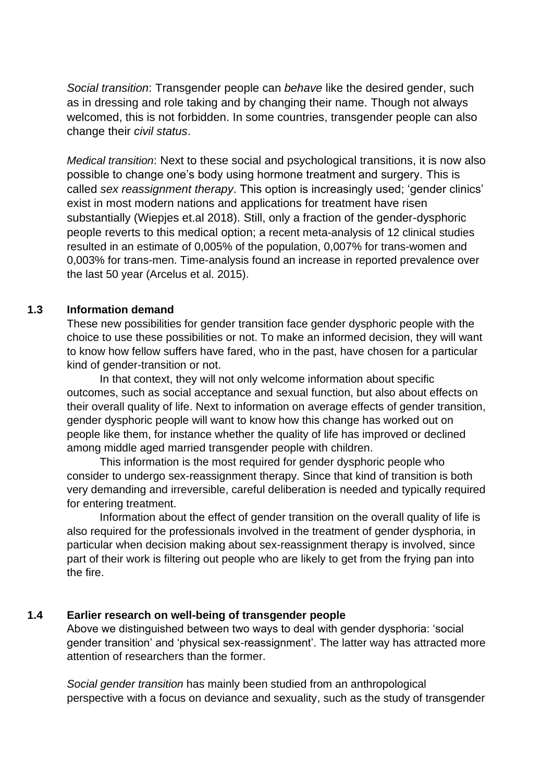*Social transition*: Transgender people can *behave* like the desired gender, such as in dressing and role taking and by changing their name. Though not always welcomed, this is not forbidden. In some countries, transgender people can also change their *civil status*.

*Medical transition*: Next to these social and psychological transitions, it is now also possible to change one's body using hormone treatment and surgery. This is called *sex reassignment therapy*. This option is increasingly used; 'gender clinics' exist in most modern nations and applications for treatment have risen substantially (Wiepjes et.al 2018). Still, only a fraction of the gender-dysphoric people reverts to this medical option; a recent meta-analysis of 12 clinical studies resulted in an estimate of 0,005% of the population, 0,007% for trans-women and 0,003% for trans-men. Time-analysis found an increase in reported prevalence over the last 50 year (Arcelus et al. 2015).

### **1.3 Information demand**

These new possibilities for gender transition face gender dysphoric people with the choice to use these possibilities or not. To make an informed decision, they will want to know how fellow suffers have fared, who in the past, have chosen for a particular kind of gender-transition or not.

In that context, they will not only welcome information about specific outcomes, such as social acceptance and sexual function, but also about effects on their overall quality of life. Next to information on average effects of gender transition, gender dysphoric people will want to know how this change has worked out on people like them, for instance whether the quality of life has improved or declined among middle aged married transgender people with children.

This information is the most required for gender dysphoric people who consider to undergo sex-reassignment therapy. Since that kind of transition is both very demanding and irreversible, careful deliberation is needed and typically required for entering treatment.

Information about the effect of gender transition on the overall quality of life is also required for the professionals involved in the treatment of gender dysphoria, in particular when decision making about sex-reassignment therapy is involved, since part of their work is filtering out people who are likely to get from the frying pan into the fire.

#### **1.4 Earlier research on well-being of transgender people**

Above we distinguished between two ways to deal with gender dysphoria: 'social gender transition' and 'physical sex-reassignment'. The latter way has attracted more attention of researchers than the former.

*Social gender transition* has mainly been studied from an anthropological perspective with a focus on deviance and sexuality, such as the study of transgender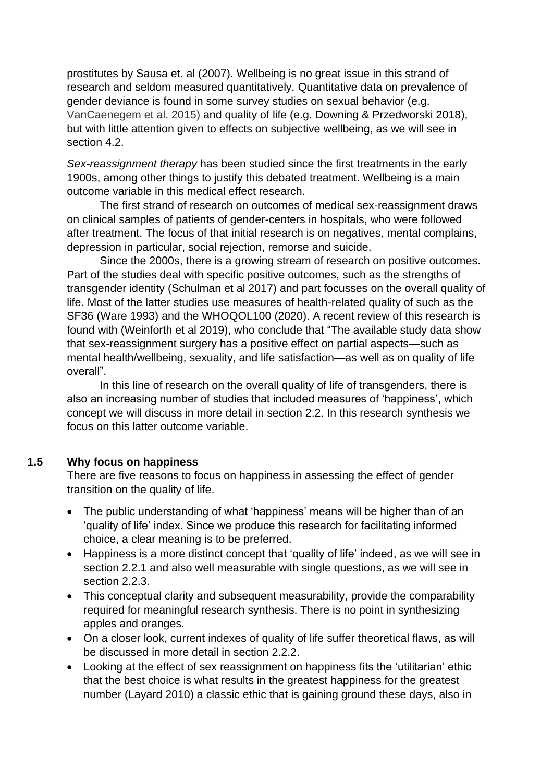prostitutes by Sausa et. al (2007). Wellbeing is no great issue in this strand of research and seldom measured quantitatively. Quantitative data on prevalence of gender deviance is found in some survey studies on sexual behavior (e.g. VanCaenegem et al. 2015) and quality of life (e.g. Downing & Przedworski 2018), but with little attention given to effects on subjective wellbeing, as we will see in section 4.2

*Sex-reassignment therapy* has been studied since the first treatments in the early 1900s, among other things to justify this debated treatment. Wellbeing is a main outcome variable in this medical effect research.

The first strand of research on outcomes of medical sex-reassignment draws on clinical samples of patients of gender-centers in hospitals, who were followed after treatment. The focus of that initial research is on negatives, mental complains, depression in particular, social rejection, remorse and suicide.

Since the 2000s, there is a growing stream of research on positive outcomes. Part of the studies deal with specific positive outcomes, such as the strengths of transgender identity (Schulman et al 2017) and part focusses on the overall quality of life. Most of the latter studies use measures of health-related quality of such as the SF36 (Ware 1993) and the WHOQOL100 (2020). A recent review of this research is found with (Weinforth et al 2019), who conclude that "The available study data show that sex-reassignment surgery has a positive effect on partial aspects—such as mental health/wellbeing, sexuality, and life satisfaction—as well as on quality of life overall".

In this line of research on the overall quality of life of transgenders, there is also an increasing number of studies that included measures of 'happiness', which concept we will discuss in more detail in section 2.2. In this research synthesis we focus on this latter outcome variable.

#### **1.5 Why focus on happiness**

There are five reasons to focus on happiness in assessing the effect of gender transition on the quality of life.

- The public understanding of what 'happiness' means will be higher than of an 'quality of life' index. Since we produce this research for facilitating informed choice, a clear meaning is to be preferred.
- Happiness is a more distinct concept that 'quality of life' indeed, as we will see in section 2.2.1 and also well measurable with single questions, as we will see in section 2.2.3.
- This conceptual clarity and subsequent measurability, provide the comparability required for meaningful research synthesis. There is no point in synthesizing apples and oranges.
- On a closer look, current indexes of quality of life suffer theoretical flaws, as will be discussed in more detail in section 2.2.2.
- Looking at the effect of sex reassignment on happiness fits the 'utilitarian' ethic that the best choice is what results in the greatest happiness for the greatest number (Layard 2010) a classic ethic that is gaining ground these days, also in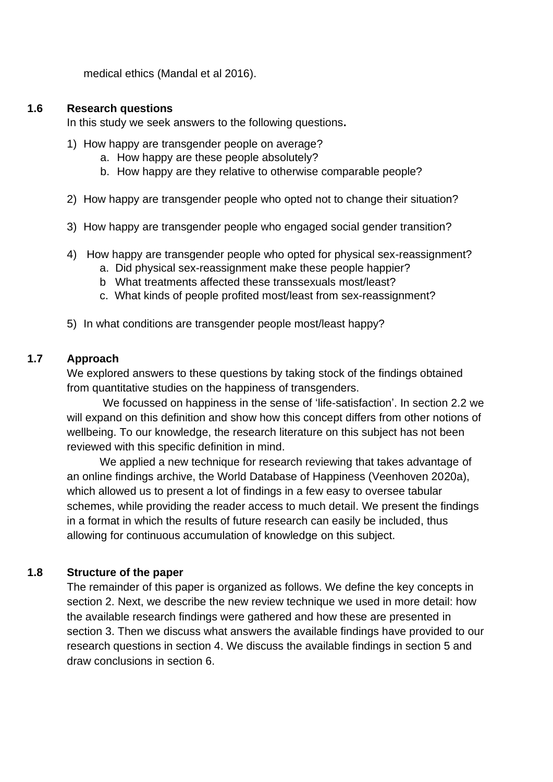medical ethics (Mandal et al 2016).

#### **1.6 Research questions**

In this study we seek answers to the following questions**.**

- 1) How happy are transgender people on average?
	- a. How happy are these people absolutely?
	- b. How happy are they relative to otherwise comparable people?
- 2) How happy are transgender people who opted not to change their situation?
- 3) How happy are transgender people who engaged social gender transition?
- 4) How happy are transgender people who opted for physical sex-reassignment?
	- a. Did physical sex-reassignment make these people happier?
	- b What treatments affected these transsexuals most/least?
	- c. What kinds of people profited most/least from sex-reassignment?
- 5) In what conditions are transgender people most/least happy?

### **1.7 Approach**

We explored answers to these questions by taking stock of the findings obtained from quantitative studies on the happiness of transgenders.

We focussed on happiness in the sense of 'life-satisfaction'. In section 2.2 we will expand on this definition and show how this concept differs from other notions of wellbeing. To our knowledge, the research literature on this subject has not been reviewed with this specific definition in mind.

We applied a new technique for research reviewing that takes advantage of an online findings archive, the World Database of Happiness (Veenhoven 2020a), which allowed us to present a lot of findings in a few easy to oversee tabular schemes, while providing the reader access to much detail. We present the findings in a format in which the results of future research can easily be included, thus allowing for continuous accumulation of knowledge on this subject.

## **1.8 Structure of the paper**

The remainder of this paper is organized as follows. We define the key concepts in section 2. Next, we describe the new review technique we used in more detail: how the available research findings were gathered and how these are presented in section 3. Then we discuss what answers the available findings have provided to our research questions in section 4. We discuss the available findings in section 5 and draw conclusions in section 6.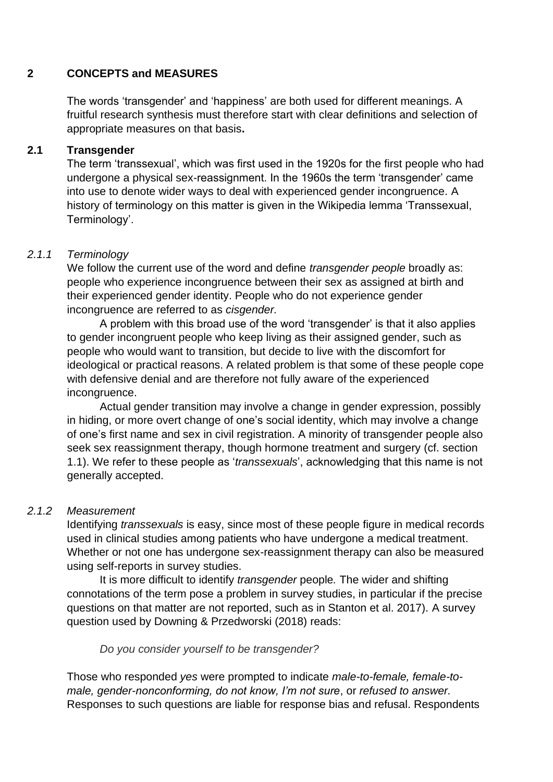### **2 CONCEPTS and MEASURES**

The words 'transgender' and 'happiness' are both used for different meanings. A fruitful research synthesis must therefore start with clear definitions and selection of appropriate measures on that basis**.**

### **2.1 Transgender**

The term 'transsexual', which was first used in the 1920s for the first people who had undergone a physical sex-reassignment. In the 1960s the term 'transgender' came into use to denote wider ways to deal with experienced gender incongruence. A history of terminology on this matter is given in the Wikipedia lemma 'Transsexual, Terminology'.

## *2.1.1 Terminology*

We follow the current use of the word and define *transgender people* broadly as: people who experience incongruence between their sex as assigned at birth and their experienced gender identity. People who do not experience gender incongruence are referred to as *cisgender.*

A problem with this broad use of the word 'transgender' is that it also applies to gender incongruent people who keep living as their assigned gender, such as people who would want to transition, but decide to live with the discomfort for ideological or practical reasons. A related problem is that some of these people cope with defensive denial and are therefore not fully aware of the experienced incongruence.

Actual gender transition may involve a change in gender expression, possibly in hiding, or more overt change of one's social identity, which may involve a change of one's first name and sex in civil registration. A minority of transgender people also seek sex reassignment therapy, though hormone treatment and surgery (cf. section 1.1). We refer to these people as '*transsexuals*', acknowledging that this name is not generally accepted.

## *2.1.2 Measurement*

Identifying *transsexuals* is easy, since most of these people figure in medical records used in clinical studies among patients who have undergone a medical treatment. Whether or not one has undergone sex-reassignment therapy can also be measured using self-reports in survey studies.

It is more difficult to identify *transgender* people*.* The wider and shifting connotations of the term pose a problem in survey studies, in particular if the precise questions on that matter are not reported, such as in Stanton et al. 2017). A survey question used by Downing & Przedworski (2018) reads:

*Do you consider yourself to be transgender?*

Those who responded *yes* were prompted to indicate *male-to-female, female-tomale, gender-nonconforming, do not know, I'm not sure*, or *refused to answer.*  Responses to such questions are liable for response bias and refusal. Respondents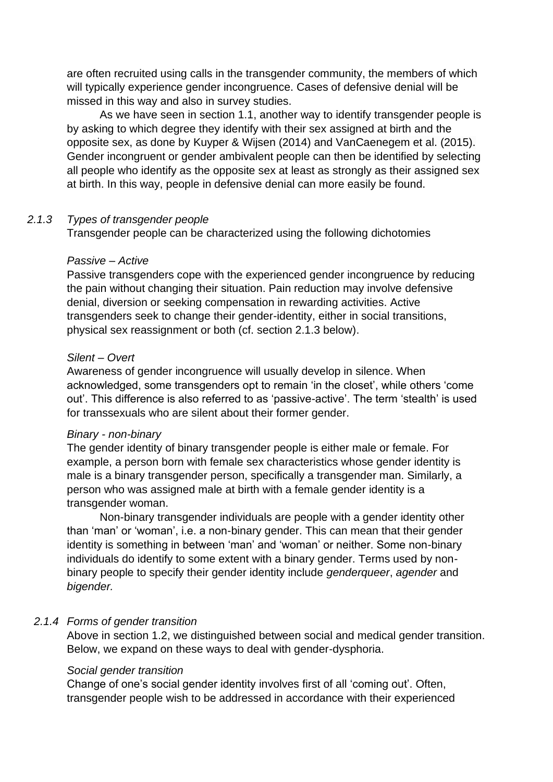are often recruited using calls in the transgender community, the members of which will typically experience gender incongruence. Cases of defensive denial will be missed in this way and also in survey studies.

 As we have seen in section 1.1, another way to identify transgender people is by asking to which degree they identify with their sex assigned at birth and the opposite sex, as done by Kuyper & Wijsen (2014) and VanCaenegem et al. (2015). Gender incongruent or gender ambivalent people can then be identified by selecting all people who identify as the opposite sex at least as strongly as their assigned sex at birth. In this way, people in defensive denial can more easily be found.

#### *2.1.3 Types of transgender people*

Transgender people can be characterized using the following dichotomies

#### *Passive – Active*

Passive transgenders cope with the experienced gender incongruence by reducing the pain without changing their situation. Pain reduction may involve defensive denial, diversion or seeking compensation in rewarding activities. Active transgenders seek to change their gender-identity, either in social transitions, physical sex reassignment or both (cf. section 2.1.3 below).

#### *Silent – Overt*

Awareness of gender incongruence will usually develop in silence. When acknowledged, some transgenders opt to remain 'in the closet', while others 'come out'. This difference is also referred to as 'passive-active'. The term 'stealth' is used for transsexuals who are silent about their former gender.

#### *Binary - non-binary*

The gender identity of binary transgender people is either male or female. For example, a person born with female sex characteristics whose gender identity is male is a binary transgender person, specifically a transgender man. Similarly, a person who was assigned male at birth with a female gender identity is a transgender woman.

Non-binary transgender individuals are people with a gender identity other than 'man' or 'woman', i.e. a non-binary gender. This can mean that their gender identity is something in between 'man' and 'woman' or neither. Some non-binary individuals do identify to some extent with a binary gender. Terms used by nonbinary people to specify their gender identity include *genderqueer*, *agender* and *bigender.*

#### *2.1.4 Forms of gender transition*

Above in section 1.2, we distinguished between social and medical gender transition. Below, we expand on these ways to deal with gender-dysphoria.

#### *Social gender transition*

Change of one's social gender identity involves first of all 'coming out'. Often, transgender people wish to be addressed in accordance with their experienced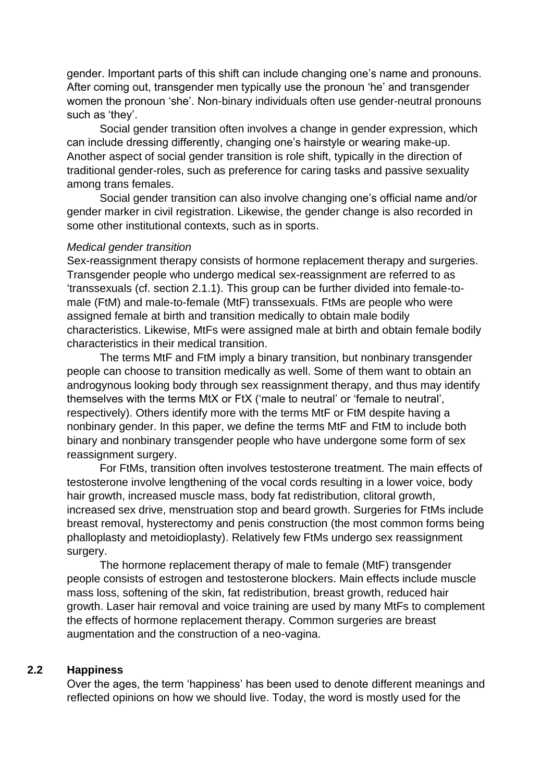gender. Important parts of this shift can include changing one's name and pronouns. After coming out, transgender men typically use the pronoun 'he' and transgender women the pronoun 'she'. Non-binary individuals often use gender-neutral pronouns such as 'they'.

Social gender transition often involves a change in gender expression, which can include dressing differently, changing one's hairstyle or wearing make-up. Another aspect of social gender transition is role shift, typically in the direction of traditional gender-roles, such as preference for caring tasks and passive sexuality among trans females.

Social gender transition can also involve changing one's official name and/or gender marker in civil registration. Likewise, the gender change is also recorded in some other institutional contexts, such as in sports.

#### *Medical gender transition*

Sex-reassignment therapy consists of hormone replacement therapy and surgeries. Transgender people who undergo medical sex-reassignment are referred to as 'transsexuals (cf. section 2.1.1). This group can be further divided into female-tomale (FtM) and male-to-female (MtF) transsexuals. FtMs are people who were assigned female at birth and transition medically to obtain male bodily characteristics. Likewise, MtFs were assigned male at birth and obtain female bodily characteristics in their medical transition.

The terms MtF and FtM imply a binary transition, but nonbinary transgender people can choose to transition medically as well. Some of them want to obtain an androgynous looking body through sex reassignment therapy, and thus may identify themselves with the terms MtX or FtX ('male to neutral' or 'female to neutral', respectively). Others identify more with the terms MtF or FtM despite having a nonbinary gender. In this paper, we define the terms MtF and FtM to include both binary and nonbinary transgender people who have undergone some form of sex reassignment surgery.

For FtMs, transition often involves testosterone treatment. The main effects of testosterone involve lengthening of the vocal cords resulting in a lower voice, body hair growth, increased muscle mass, body fat redistribution, clitoral growth, increased sex drive, menstruation stop and beard growth. Surgeries for FtMs include breast removal, hysterectomy and penis construction (the most common forms being phalloplasty and metoidioplasty). Relatively few FtMs undergo sex reassignment surgery.

The hormone replacement therapy of male to female (MtF) transgender people consists of estrogen and testosterone blockers. Main effects include muscle mass loss, softening of the skin, fat redistribution, breast growth, reduced hair growth. Laser hair removal and voice training are used by many MtFs to complement the effects of hormone replacement therapy. Common surgeries are breast augmentation and the construction of a neo-vagina.

#### **2.2 Happiness**

Over the ages, the term 'happiness' has been used to denote different meanings and reflected opinions on how we should live. Today, the word is mostly used for the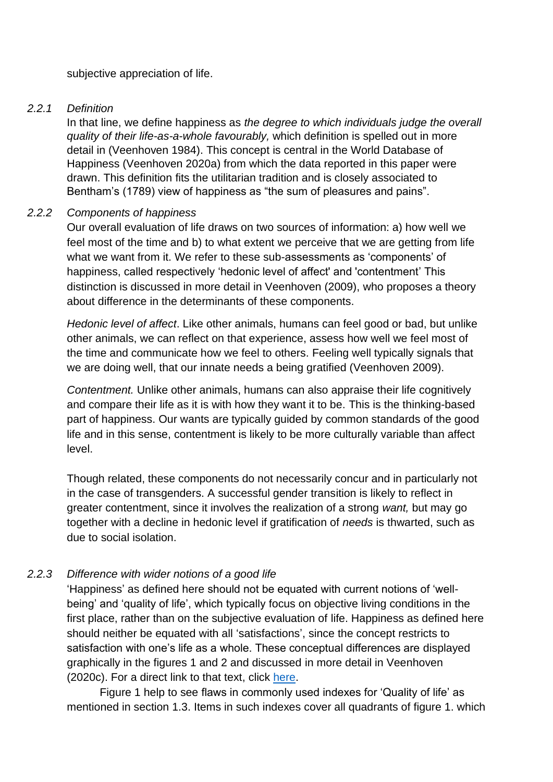subjective appreciation of life.

#### *2.2.1 Definition*

In that line, we define happiness as *the degree to which individuals judge the overall quality of their life-as-a-whole favourably,* which definition is spelled out in more detail in (Veenhoven 1984). This concept is central in the World Database of Happiness (Veenhoven 2020a) from which the data reported in this paper were drawn. This definition fits the utilitarian tradition and is closely associated to Bentham's (1789) view of happiness as "the sum of pleasures and pains".

#### *2.2.2 Components of happiness*

Our overall evaluation of life draws on two sources of information: a) how well we feel most of the time and b) to what extent we perceive that we are getting from life what we want from it. We refer to these sub-assessments as 'components' of happiness, called respectively 'hedonic level of affect' and 'contentment' This distinction is discussed in more detail in Veenhoven (2009), who proposes a theory about difference in the determinants of these components.

*Hedonic level of affect*. Like other animals, humans can feel good or bad, but unlike other animals, we can reflect on that experience, assess how well we feel most of the time and communicate how we feel to others. Feeling well typically signals that we are doing well, that our innate needs a being gratified (Veenhoven 2009).

*Contentment.* Unlike other animals, humans can also appraise their life cognitively and compare their life as it is with how they want it to be. This is the thinking-based part of happiness. Our wants are typically guided by common standards of the good life and in this sense, contentment is likely to be more culturally variable than affect level.

Though related, these components do not necessarily concur and in particularly not in the case of transgenders. A successful gender transition is likely to reflect in greater contentment, since it involves the realization of a strong *want,* but may go together with a decline in hedonic level if gratification of *needs* is thwarted, such as due to social isolation.

## *2.2.3 Difference with wider notions of a good life*

'Happiness' as defined here should not be equated with current notions of 'wellbeing' and 'quality of life', which typically focus on objective living conditions in the first place, rather than on the subjective evaluation of life. Happiness as defined here should neither be equated with all 'satisfactions', since the concept restricts to satisfaction with one's life as a whole. These conceptual differences are displayed graphically in the figures 1 and 2 and discussed in more detail in Veenhoven (2020c). For a direct link to that text, click [here.](https://worlddatabaseofhappiness.eur.nl/hap_quer/introtext_measures2.pdf)

Figure 1 help to see flaws in commonly used indexes for 'Quality of life' as mentioned in section 1.3. Items in such indexes cover all quadrants of figure 1. which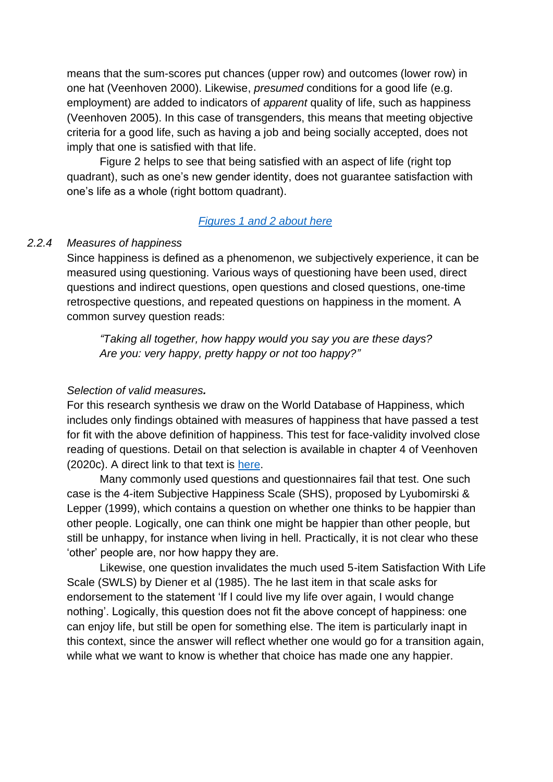means that the sum-scores put chances (upper row) and outcomes (lower row) in one hat (Veenhoven 2000). Likewise, *presumed* conditions for a good life (e.g. employment) are added to indicators of *apparent* quality of life, such as happiness (Veenhoven 2005). In this case of transgenders, this means that meeting objective criteria for a good life, such as having a job and being socially accepted, does not imply that one is satisfied with that life.

Figure 2 helps to see that being satisfied with an aspect of life (right top quadrant), such as one's new gender identity, does not guarantee satisfaction with one's life as a whole (right bottom quadrant).

#### *[Figures 1 and 2 about here](#page-31-0)*

#### *2.2.4 Measures of happiness*

Since happiness is defined as a phenomenon, we subjectively experience, it can be measured using questioning. Various ways of questioning have been used, direct questions and indirect questions, open questions and closed questions, one-time retrospective questions, and repeated questions on happiness in the moment. A common survey question reads:

*["Taking all together, how happy would you say you are these days?](https://worlddatabaseofhappiness.eur.nl/hap_cor/desc_hind.php?ind=155) Are you: very happy, pretty happy or not too happy?"*

#### *Selection of valid measures.*

For this research synthesis we draw on the World Database of Happiness, which includes only findings obtained with measures of happiness that have passed a test for fit with the above definition of happiness. This test for face-validity involved close reading of questions. Detail on that selection is available in [chapter 4](http://worlddatabaseofhappiness.eur.nl/hap_quer/introtext_measures4.pdf) of Veenhoven (2020c). A direct link to that text is [here.](https://worlddatabaseofhappiness.eur.nl/hap_quer/introtext_measures4.pdf)

Many commonly used questions and questionnaires fail that test. One such case is the 4-item Subjective Happiness Scale (SHS), proposed by Lyubomirski & Lepper (1999), which contains a question on whether one thinks to be happier than other people. Logically, one can think one might be happier than other people, but still be unhappy, for instance when living in hell. Practically, it is not clear who these 'other' people are, nor how happy they are.

Likewise, one question invalidates the much used 5-item Satisfaction With Life Scale (SWLS) by Diener et al (1985). The he last item in that scale asks for endorsement to the statement 'If I could live my life over again, I would change nothing'. Logically, this question does not fit the above concept of happiness: one can enjoy life, but still be open for something else. The item is particularly inapt in this context, since the answer will reflect whether one would go for a transition again, while what we want to know is whether that choice has made one any happier.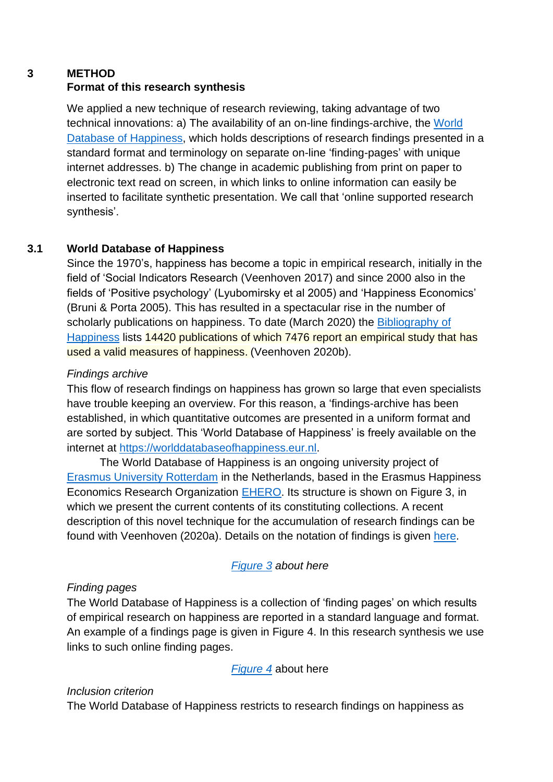## **3 METHOD Format of this research synthesis**

We applied a new technique of research reviewing, taking advantage of two technical innovations: a) The availability of an on-line findings-archive, the [World](https://worlddatabaseofhappiness.eur.nl/hap_cor/desc_topic.php?tid=5124)  [Database of Happiness,](https://worlddatabaseofhappiness.eur.nl/hap_cor/desc_topic.php?tid=5124) which holds descriptions of research findings presented in a standard format and terminology on separate on-line 'finding-pages' with unique internet addresses. b) The change in academic publishing from print on paper to electronic text read on screen, in which links to online information can easily be inserted to facilitate synthetic presentation. We call that 'online supported research synthesis'.

# **3.1 World Database of Happiness**

Since the 1970's, happiness has become a topic in empirical research, initially in the field of 'Social Indicators Research (Veenhoven 2017) and since 2000 also in the fields of 'Positive psychology' (Lyubomirsky et al 2005) and 'Happiness Economics' (Bruni & Porta 2005). This has resulted in a spectacular rise in the number of scholarly publications on happiness. To date (March 2020) the [Bibliography of](https://worlddatabaseofhappiness.eur.nl/hap_bib/bib_fp.php)  [Happiness](https://worlddatabaseofhappiness.eur.nl/hap_bib/bib_fp.php) lists 14420 publications of which 7476 report an empirical study that has used a valid measures of happiness. (Veenhoven 2020b).

## *Findings archive*

This flow of research findings on happiness has grown so large that even specialists have trouble keeping an overview. For this reason, a 'findings-archive has been established, in which quantitative outcomes are presented in a uniform format and are sorted by subject. This 'World Database of Happiness' is freely available on the internet at [https://worlddatabaseofhappiness.eur.nl.](https://worlddatabaseofhappiness.eur.nl/)

The World Database of Happiness is an ongoing university project of [Erasmus University Rotterdam](https://www.eur.nl/) in the Netherlands, based in the Erasmus Happiness Economics Research Organization [EHERO.](https://www.eur.nl/en/ehero/) Its structure is shown on Figure 3, in which we present the current contents of its constituting collections. A recent description of this novel technique for the accumulation of research findings can be found with Veenhoven (2020a). Details on the notation of findings is given [here.](https://worlddatabaseofhappiness.eur.nl/hap_cor/introtexts/introcor-contents.htm)

# *[Figure 3](#page-32-0) about here*

## *Finding pages*

The World Database of Happiness is a collection of 'finding pages' on which results of empirical research on happiness are reported in a standard language and format. An example of a findings page is given in Figure 4. In this research synthesis we use links to such online finding pages.

## *[Figure 4](#page-34-0)* about here

## *Inclusion criterion*

The World Database of Happiness restricts to research findings on happiness as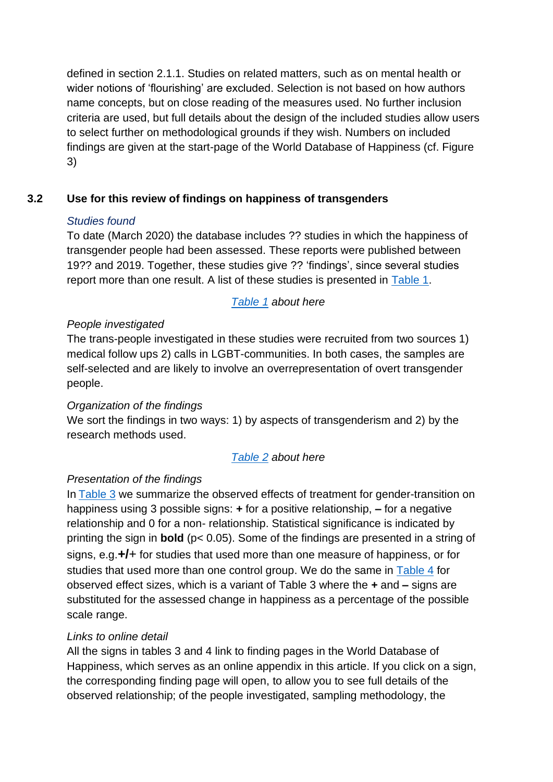defined in section 2.1.1. Studies on related matters, such as on mental health or wider notions of 'flourishing' are excluded. Selection is not based on how authors name concepts, but on close reading of the measures used. No further inclusion criteria are used, but full details about the design of the included studies allow users to select further on methodological grounds if they wish. Numbers on included findings are given at the start-page of the World Database of Happiness (cf. Figure 3)

## **3.2 Use for this review of findings on happiness of transgenders**

### *Studies found*

To date (March 2020) the database includes ?? studies in which the happiness of transgender people had been assessed. These reports were published between 19?? and 2019. Together, these studies give ?? 'findings', since several studies report more than one result. A list of these studies is presented in [Table 1.](#page-36-0)

## *[Table 1](#page-36-0) about here*

## *People investigated*

The trans-people investigated in these studies were recruited from two sources 1) medical follow ups 2) calls in LGBT-communities. In both cases, the samples are self-selected and are likely to involve an overrepresentation of overt transgender people.

## *Organization of the findings*

We sort the findings in two ways: 1) by aspects of transgenderism and 2) by the research methods used.

## *[Table 2](#page-38-0) about here*

## *Presentation of the findings*

In [Table 3](#page-40-0) we summarize the observed effects of treatment for gender-transition on happiness using 3 possible signs: **+** for a positive relationship, **–** for a negative relationship and 0 for a non- relationship. Statistical significance is indicated by printing the sign in **bold** (p< 0.05). Some of the findings are presented in a string of signs, e.g.**+/**+ for studies that used more than one measure of happiness, or for studies that used more than one control group. We do the same in [Table 4](#page-41-0) for observed effect sizes, which is a variant of Table 3 where the **+** and **–** signs are substituted for the assessed change in happiness as a percentage of the possible scale range.

#### *Links to online detail*

All the signs in tables 3 and 4 link to finding pages in the World Database of Happiness, which serves as an online appendix in this article. If you click on a sign, the corresponding finding page will open, to allow you to see full details of the observed relationship; of the people investigated, sampling methodology, the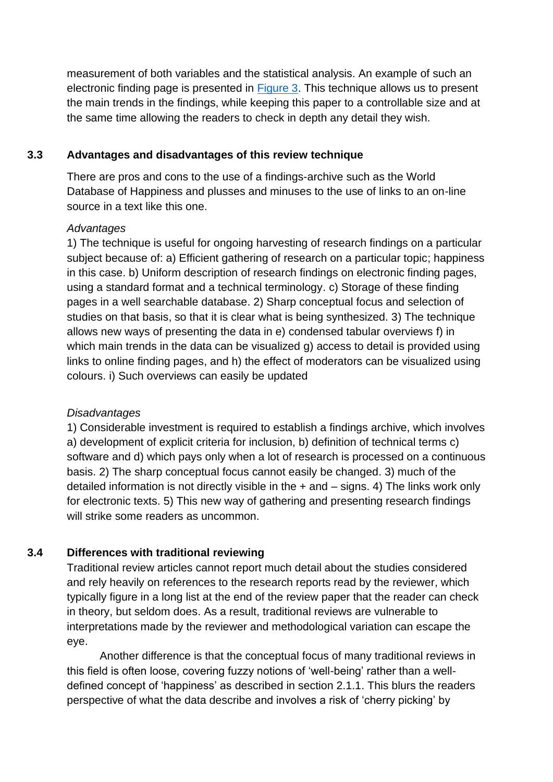measurement of both variables and the statistical analysis. An example of such an electronic finding page is presented in [Figure 3.](#page-32-0) This technique allows us to present the main trends in the findings, while keeping this paper to a controllable size and at the same time allowing the readers to check in depth any detail they wish.

## **3.3 Advantages and disadvantages of this review technique**

There are pros and cons to the use of a findings-archive such as the World Database of Happiness and plusses and minuses to the use of links to an on-line source in a text like this one.

### *Advantages*

1) The technique is useful for ongoing harvesting of research findings on a particular subject because of: a) Efficient gathering of research on a particular topic; happiness in this case. b) Uniform description of research findings on electronic finding pages, using a standard format and a technical terminology. c) Storage of these finding pages in a well searchable database. 2) Sharp conceptual focus and selection of studies on that basis, so that it is clear what is being synthesized. 3) The technique allows new ways of presenting the data in e) condensed tabular overviews f) in which main trends in the data can be visualized g) access to detail is provided using links to online finding pages, and h) the effect of moderators can be visualized using colours. i) Such overviews can easily be updated

#### *Disadvantages*

1) Considerable investment is required to establish a findings archive, which involves a) development of explicit criteria for inclusion, b) definition of technical terms c) software and d) which pays only when a lot of research is processed on a continuous basis. 2) The sharp conceptual focus cannot easily be changed. 3) much of the detailed information is not directly visible in the  $+$  and  $-$  signs. 4) The links work only for electronic texts. 5) This new way of gathering and presenting research findings will strike some readers as uncommon

## **3.4 Differences with traditional reviewing**

Traditional review articles cannot report much detail about the studies considered and rely heavily on references to the research reports read by the reviewer, which typically figure in a long list at the end of the review paper that the reader can check in theory, but seldom does. As a result, traditional reviews are vulnerable to interpretations made by the reviewer and methodological variation can escape the eye.

Another difference is that the conceptual focus of many traditional reviews in this field is often loose, covering fuzzy notions of 'well-being' rather than a welldefined concept of 'happiness' as described in section 2.1.1. This blurs the readers perspective of what the data describe and involves a risk of 'cherry picking' by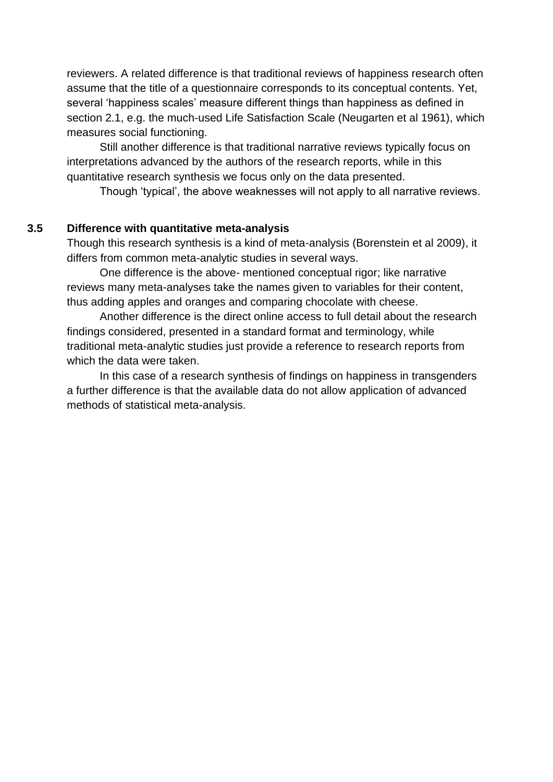reviewers. A related difference is that traditional reviews of happiness research often assume that the title of a questionnaire corresponds to its conceptual contents. Yet, several 'happiness scales' measure different things than happiness as defined in section 2.1, e.g. the much-used Life Satisfaction Scale (Neugarten et al 1961), which measures social functioning.

Still another difference is that traditional narrative reviews typically focus on interpretations advanced by the authors of the research reports, while in this quantitative research synthesis we focus only on the data presented.

Though 'typical', the above weaknesses will not apply to all narrative reviews.

#### **3.5 Difference with quantitative meta-analysis**

Though this research synthesis is a kind of meta-analysis (Borenstein et al 2009), it differs from common meta-analytic studies in several ways.

One difference is the above- mentioned conceptual rigor; like narrative reviews many meta-analyses take the names given to variables for their content, thus adding apples and oranges and comparing chocolate with cheese.

Another difference is the direct online access to full detail about the research findings considered, presented in a standard format and terminology, while traditional meta-analytic studies just provide a reference to research reports from which the data were taken.

In this case of a research synthesis of findings on happiness in transgenders a further difference is that the available data do not allow application of advanced methods of statistical meta-analysis.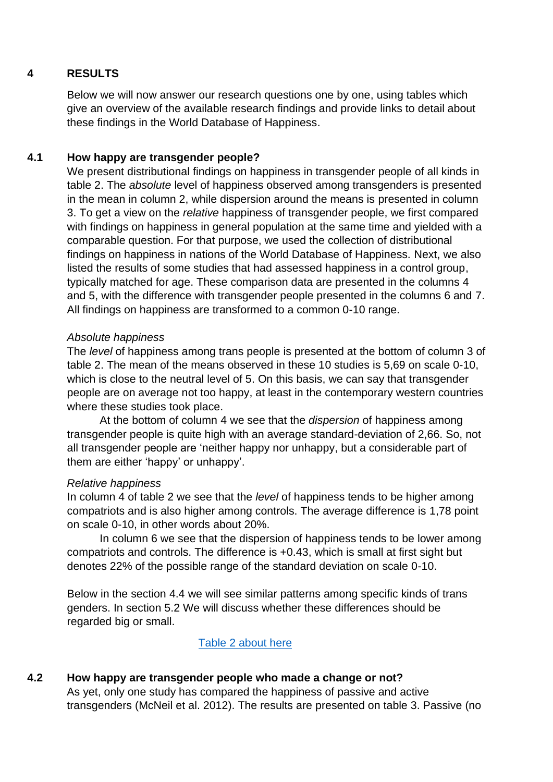#### **4 RESULTS**

Below we will now answer our research questions one by one, using tables which give an overview of the available research findings and provide links to detail about these findings in the World Database of Happiness.

#### **4.1 How happy are transgender people?**

We present distributional findings on happiness in transgender people of all kinds in table 2. The *absolute* level of happiness observed among transgenders is presented in the mean in column 2, while dispersion around the means is presented in column 3. To get a view on the *relative* happiness of transgender people, we first compared with findings on happiness in general population at the same time and yielded with a comparable question. For that purpose, we used the collection of distributional findings on happiness in nations of the World Database of Happiness. Next, we also listed the results of some studies that had assessed happiness in a control group, typically matched for age. These comparison data are presented in the columns 4 and 5, with the difference with transgender people presented in the columns 6 and 7. All findings on happiness are transformed to a common 0-10 range.

#### *Absolute happiness*

The *level* of happiness among trans people is presented at the bottom of column 3 of table 2. The mean of the means observed in these 10 studies is 5,69 on scale 0-10, which is close to the neutral level of 5. On this basis, we can say that transgender people are on average not too happy, at least in the contemporary western countries where these studies took place.

At the bottom of column 4 we see that the *dispersion* of happiness among transgender people is quite high with an average standard-deviation of 2,66. So, not all transgender people are 'neither happy nor unhappy, but a considerable part of them are either 'happy' or unhappy'.

#### *Relative happiness*

In column 4 of table 2 we see that the *level* of happiness tends to be higher among compatriots and is also higher among controls. The average difference is 1,78 point on scale 0-10, in other words about 20%.

In column 6 we see that the dispersion of happiness tends to be lower among compatriots and controls. The difference is +0.43, which is small at first sight but denotes 22% of the possible range of the standard deviation on scale 0-10.

Below in the section 4.4 we will see similar patterns among specific kinds of trans genders. In section 5.2 We will discuss whether these differences should be regarded big or small.

#### Table 2 about here

#### **4.2 How happy are transgender people who made a change or not?**

As yet, only one study has compared the happiness of passive and active transgenders (McNeil et al. 2012). The results are presented on table 3. Passive (no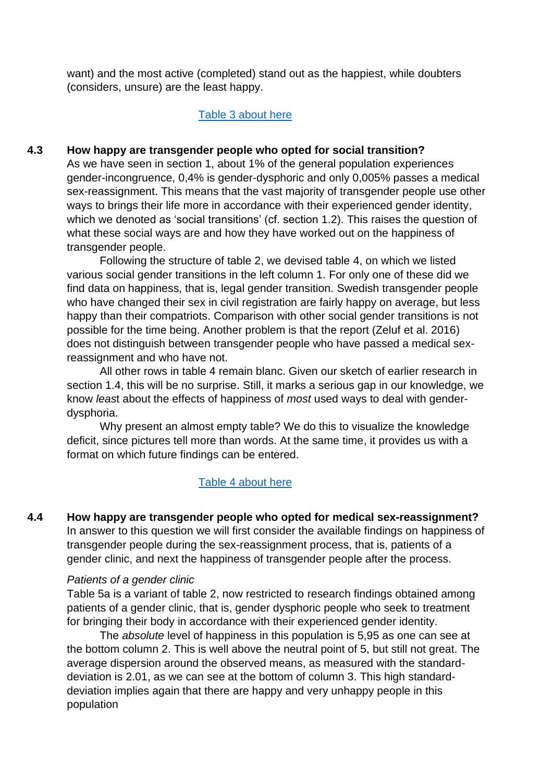want) and the most active (completed) stand out as the happiest, while doubters (considers, unsure) are the least happy.

#### [Table 3 about here](#page-40-0)

#### **4.3 How happy are transgender people who opted for social transition?**

As we have seen in section 1, about 1% of the general population experiences gender-incongruence, 0,4% is gender-dysphoric and only 0,005% passes a medical sex-reassignment. This means that the vast majority of transgender people use other ways to brings their life more in accordance with their experienced gender identity, which we denoted as 'social transitions' (cf. section 1.2). This raises the question of what these social ways are and how they have worked out on the happiness of transgender people.

Following the structure of table 2, we devised table 4, on which we listed various social gender transitions in the left column 1. For only one of these did we find data on happiness, that is, legal gender transition. Swedish transgender people who have changed their sex in civil registration are fairly happy on average, but less happy than their compatriots. Comparison with other social gender transitions is not possible for the time being. Another problem is that the report (Zeluf et al. 2016) does not distinguish between transgender people who have passed a medical sexreassignment and who have not.

All other rows in table 4 remain blanc. Given our sketch of earlier research in section 1.4, this will be no surprise. Still, it marks a serious gap in our knowledge, we know *leas*t about the effects of happiness of *most* used ways to deal with genderdysphoria.

Why present an almost empty table? We do this to visualize the knowledge deficit, since pictures tell more than words. At the same time, it provides us with a format on which future findings can be entered.

#### Table 4 [about here](#page-41-0)

**4.4 How happy are transgender people who opted for medical sex-reassignment?** In answer to this question we will first consider the available findings on happiness of transgender people during the sex-reassignment process, that is, patients of a gender clinic, and next the happiness of transgender people after the process.

#### *Patients of a gender clinic*

Table 5a is a variant of table 2, now restricted to research findings obtained among patients of a gender clinic, that is, gender dysphoric people who seek to treatment for bringing their body in accordance with their experienced gender identity.

The *absolute* level of happiness in this population is 5,95 as one can see at the bottom column 2. This is well above the neutral point of 5, but still not great. The average dispersion around the observed means, as measured with the standarddeviation is 2.01, as we can see at the bottom of column 3. This high standarddeviation implies again that there are happy and very unhappy people in this population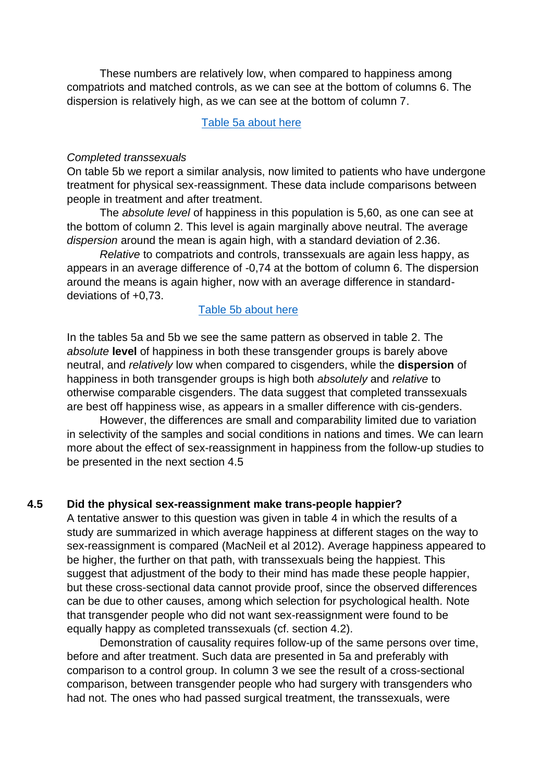These numbers are relatively low, when compared to happiness among compatriots and matched controls, as we can see at the bottom of columns 6. The dispersion is relatively high, as we can see at the bottom of column 7.

[Table 5a about here](#page-43-0)

#### *Completed transsexuals*

On table 5b we report a similar analysis, now limited to patients who have undergone treatment for physical sex-reassignment. These data include comparisons between people in treatment and after treatment.

The *absolute level* of happiness in this population is 5,60, as one can see at the bottom of column 2. This level is again marginally above neutral. The average *dispersion* around the mean is again high, with a standard deviation of 2.36.

*Relative* to compatriots and controls, transsexuals are again less happy, as appears in an average difference of -0,74 at the bottom of column 6. The dispersion around the means is again higher, now with an average difference in standarddeviations of +0,73.

#### [Table 5b about here](#page-44-0)

In the tables 5a and 5b we see the same pattern as observed in table 2. The *absolute* **level** of happiness in both these transgender groups is barely above neutral, and *relatively* low when compared to cisgenders, while the **dispersion** of happiness in both transgender groups is high both *absolutely* and *relative* to otherwise comparable cisgenders. The data suggest that completed transsexuals are best off happiness wise, as appears in a smaller difference with cis-genders.

However, the differences are small and comparability limited due to variation in selectivity of the samples and social conditions in nations and times. We can learn more about the effect of sex-reassignment in happiness from the follow-up studies to be presented in the next section 4.5

#### **4.5 Did the physical sex-reassignment make trans-people happier?**

A tentative answer to this question was given in table 4 in which the results of a study are summarized in which average happiness at different stages on the way to sex-reassignment is compared (MacNeil et al 2012). Average happiness appeared to be higher, the further on that path, with transsexuals being the happiest. This suggest that adjustment of the body to their mind has made these people happier, but these cross-sectional data cannot provide proof, since the observed differences can be due to other causes, among which selection for psychological health. Note that transgender people who did not want sex-reassignment were found to be equally happy as completed transsexuals (cf. section 4.2).

Demonstration of causality requires follow-up of the same persons over time, before and after treatment. Such data are presented in 5a and preferably with comparison to a control group. In column 3 we see the result of a cross-sectional comparison, between transgender people who had surgery with transgenders who had not. The ones who had passed surgical treatment, the transsexuals, were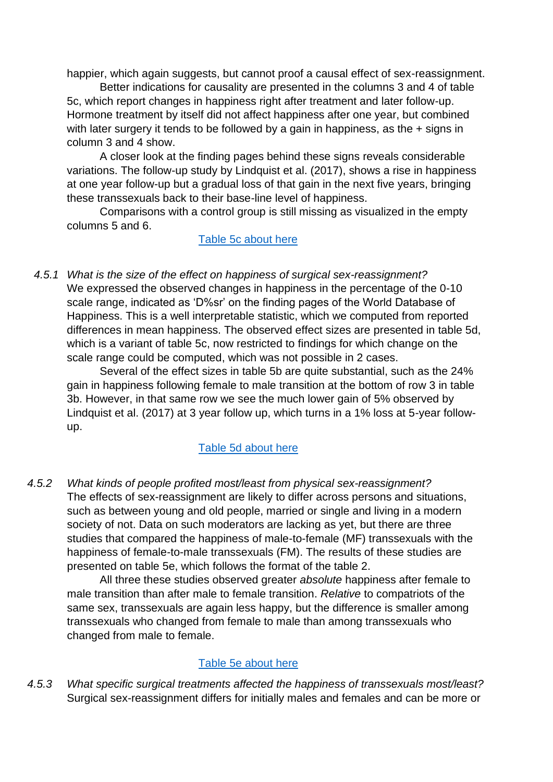happier, which again suggests, but cannot proof a causal effect of sex-reassignment.

 Better indications for causality are presented in the columns 3 and 4 of table 5c, which report changes in happiness right after treatment and later follow-up. Hormone treatment by itself did not affect happiness after one year, but combined with later surgery it tends to be followed by a gain in happiness, as the + signs in column 3 and 4 show.

 A closer look at the finding pages behind these signs reveals considerable variations. The follow-up study by Lindquist et al. (2017), shows a rise in happiness at one year follow-up but a gradual loss of that gain in the next five years, bringing these transsexuals back to their base-line level of happiness.

Comparisons with a control group is still missing as visualized in the empty columns 5 and 6.

Table 5c [about here](#page-44-1)

*4.5.1 What is the size of the effect on happiness of surgical sex-reassignment?* We expressed the observed changes in happiness in the percentage of the 0-10 scale range, indicated as 'D%sr' on the finding pages of the World Database of Happiness. This is a well interpretable statistic, which we computed from reported differences in mean happiness. The observed effect sizes are presented in table 5d, which is a variant of table 5c, now restricted to findings for which change on the scale range could be computed, which was not possible in 2 cases.

Several of the effect sizes in table 5b are quite substantial, such as the 24% gain in happiness following female to male transition at the bottom of row 3 in table 3b. However, in that same row we see the much lower gain of 5% observed by Lindquist et al. (2017) at 3 year follow up, which turns in a 1% loss at 5-year followup.

## Table 5d [about here](#page-46-0)

*4.5.2 What kinds of people profited most/least from physical sex-reassignment?* The effects of sex-reassignment are likely to differ across persons and situations, such as between young and old people, married or single and living in a modern society of not. Data on such moderators are lacking as yet, but there are three studies that compared the happiness of male-to-female (MF) transsexuals with the happiness of female-to-male transsexuals (FM). The results of these studies are presented on table 5e, which follows the format of the table 2.

All three these studies observed greater *absolute* happiness after female to male transition than after male to female transition. *Relative* to compatriots of the same sex, transsexuals are again less happy, but the difference is smaller among transsexuals who changed from female to male than among transsexuals who changed from male to female.

## Table 5e [about here](#page-47-0)

*4.5.3 What specific surgical treatments affected the happiness of transsexuals most/least?* Surgical sex-reassignment differs for initially males and females and can be more or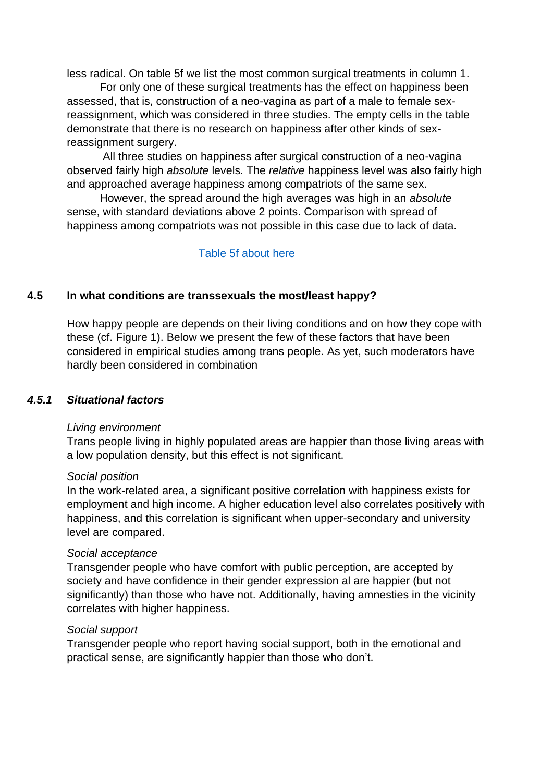less radical. On table 5f we list the most common surgical treatments in column 1.

For only one of these surgical treatments has the effect on happiness been assessed, that is, construction of a neo-vagina as part of a male to female sexreassignment, which was considered in three studies. The empty cells in the table demonstrate that there is no research on happiness after other kinds of sexreassignment surgery.

All three studies on happiness after surgical construction of a neo-vagina observed fairly high *absolute* levels. The *relative* happiness level was also fairly high and approached average happiness among compatriots of the same sex.

However, the spread around the high averages was high in an *absolute* sense, with standard deviations above 2 points. Comparison with spread of happiness among compatriots was not possible in this case due to lack of data.

Table 5f [about here](#page-48-0)

#### **4.5 In what conditions are transsexuals the most/least happy?**

How happy people are depends on their living conditions and on how they cope with these (cf. Figure 1). Below we present the few of these factors that have been considered in empirical studies among trans people. As yet, such moderators have hardly been considered in combination

#### *4.5.1 Situational factors*

#### *Living environment*

Trans people living in highly populated areas are happier than those living areas with a low population density, but this effect is not significant.

#### *Social position*

In the work-related area, a significant positive correlation with happiness exists for employment and high income. A higher education level also correlates positively with happiness, and this correlation is significant when upper-secondary and university level are compared.

#### *Social acceptance*

Transgender people who have comfort with public perception, are accepted by society and have confidence in their gender expression al are happier (but not significantly) than those who have not. Additionally, having amnesties in the vicinity correlates with higher happiness.

#### *Social support*

Transgender people who report having social support, both in the emotional and practical sense, are significantly happier than those who don't.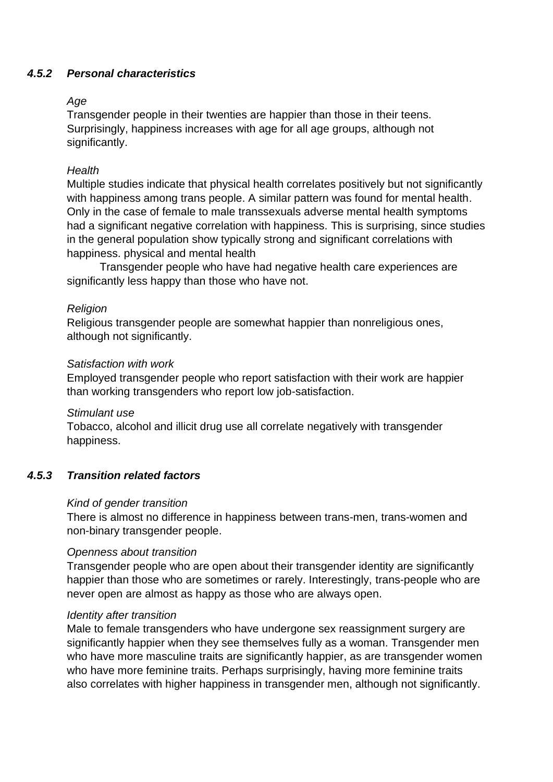## *4.5.2 Personal characteristics*

#### *Age*

Transgender people in their twenties are happier than those in their teens. Surprisingly, happiness increases with age for all age groups, although not significantly.

### *Health*

Multiple studies indicate that physical health correlates positively but not significantly with happiness among trans people. A similar pattern was found for mental health. Only in the case of female to male transsexuals adverse mental health symptoms had a significant negative correlation with happiness. This is surprising, since studies in the general population show typically strong and significant correlations with happiness. physical and mental health

Transgender people who have had negative health care experiences are significantly less happy than those who have not.

#### *Religion*

Religious transgender people are somewhat happier than nonreligious ones, although not significantly.

#### *Satisfaction with work*

Employed transgender people who report satisfaction with their work are happier than working transgenders who report low job-satisfaction.

#### *Stimulant use*

Tobacco, alcohol and illicit drug use all correlate negatively with transgender happiness.

#### *4.5.3 Transition related factors*

#### *Kind of gender transition*

There is almost no difference in happiness between trans-men, trans-women and non-binary transgender people.

#### *Openness about transition*

Transgender people who are open about their transgender identity are significantly happier than those who are sometimes or rarely. Interestingly, trans-people who are never open are almost as happy as those who are always open.

#### *Identity after transition*

Male to female transgenders who have undergone sex reassignment surgery are significantly happier when they see themselves fully as a woman. Transgender men who have more masculine traits are significantly happier, as are transgender women who have more feminine traits. Perhaps surprisingly, having more feminine traits also correlates with higher happiness in transgender men, although not significantly.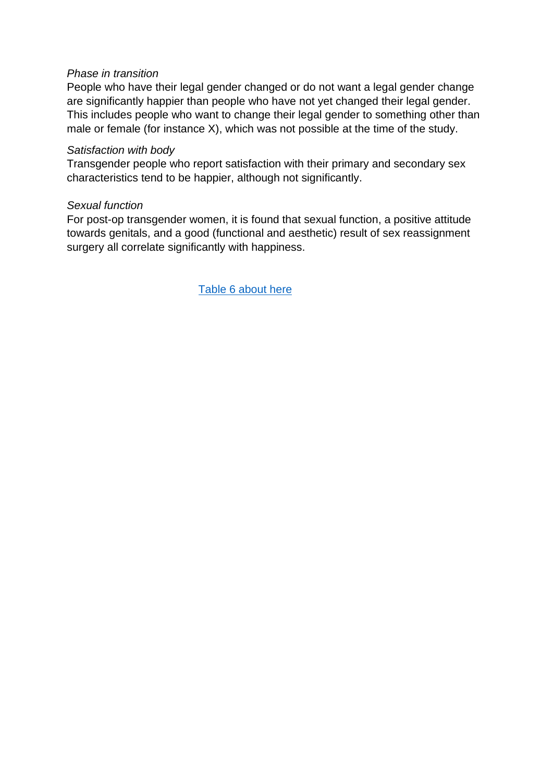#### *Phase in transition*

People who have their legal gender changed or do not want a legal gender change are significantly happier than people who have not yet changed their legal gender. This includes people who want to change their legal gender to something other than male or female (for instance X), which was not possible at the time of the study.

#### *Satisfaction with body*

Transgender people who report satisfaction with their primary and secondary sex characteristics tend to be happier, although not significantly.

#### *Sexual function*

For post-op transgender women, it is found that sexual function, a positive attitude towards genitals, and a good (functional and aesthetic) result of sex reassignment surgery all correlate significantly with happiness.

[Table 6 about here](#page-50-0)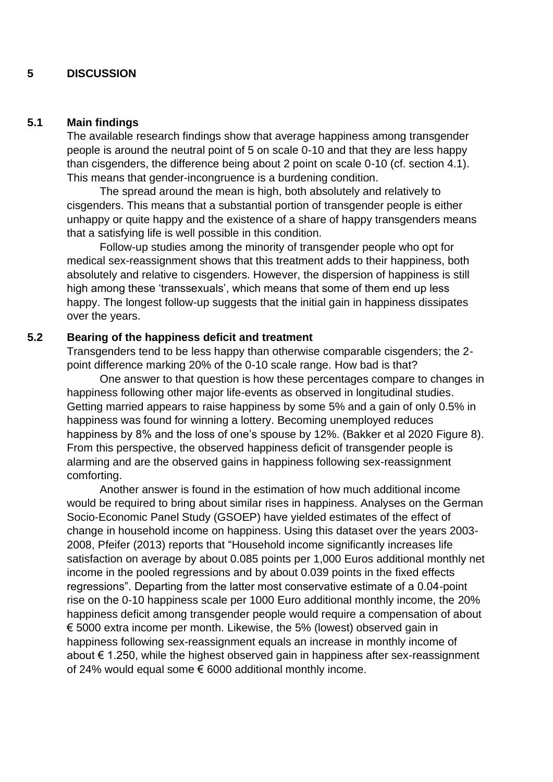#### **5 DISCUSSION**

#### **5.1 Main findings**

The available research findings show that average happiness among transgender people is around the neutral point of 5 on scale 0-10 and that they are less happy than cisgenders, the difference being about 2 point on scale 0-10 (cf. section 4.1). This means that gender-incongruence is a burdening condition.

The spread around the mean is high, both absolutely and relatively to cisgenders. This means that a substantial portion of transgender people is either unhappy or quite happy and the existence of a share of happy transgenders means that a satisfying life is well possible in this condition.

Follow-up studies among the minority of transgender people who opt for medical sex-reassignment shows that this treatment adds to their happiness, both absolutely and relative to cisgenders. However, the dispersion of happiness is still high among these 'transsexuals', which means that some of them end up less happy. The longest follow-up suggests that the initial gain in happiness dissipates over the years.

#### **5.2 Bearing of the happiness deficit and treatment**

Transgenders tend to be less happy than otherwise comparable cisgenders; the 2 point difference marking 20% of the 0-10 scale range. How bad is that?

One answer to that question is how these percentages compare to changes in happiness following other major life-events as observed in longitudinal studies. Getting married appears to raise happiness by some 5% and a gain of only 0.5% in happiness was found for winning a lottery. Becoming unemployed reduces happiness by 8% and the loss of one's spouse by 12%. (Bakker et al 2020 Figure 8). From this perspective, the observed happiness deficit of transgender people is alarming and are the observed gains in happiness following sex-reassignment comforting.

 Another answer is found in the estimation of how much additional income would be required to bring about similar rises in happiness. Analyses on the German Socio-Economic Panel Study (GSOEP) have yielded estimates of the effect of change in household income on happiness. Using this dataset over the years 2003- 2008, Pfeifer (2013) reports that "Household income significantly increases life satisfaction on average by about 0.085 points per 1,000 Euros additional monthly net income in the pooled regressions and by about 0.039 points in the fixed effects regressions". Departing from the latter most conservative estimate of a 0.04-point rise on the 0-10 happiness scale per 1000 Euro additional monthly income, the 20% happiness deficit among transgender people would require a compensation of about € 5000 extra income per month. Likewise, the 5% (lowest) observed gain in happiness following sex-reassignment equals an increase in monthly income of about € 1.250, while the highest observed gain in happiness after sex-reassignment of 24% would equal some € 6000 additional monthly income.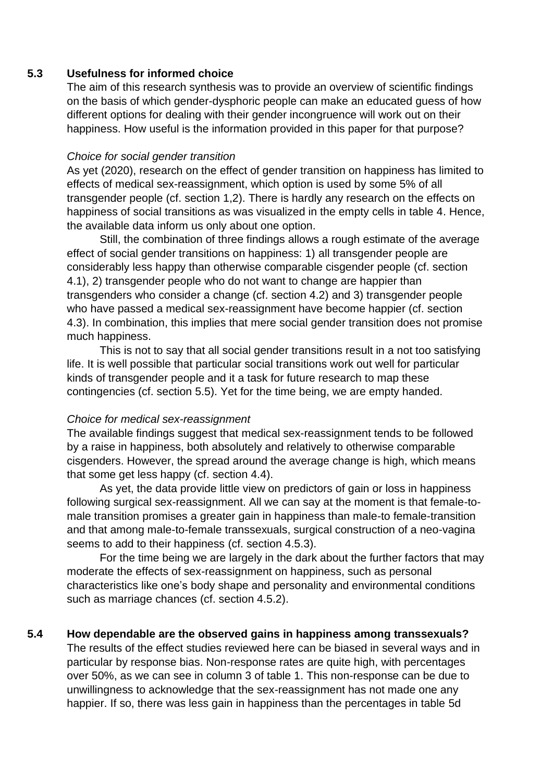#### **5.3 Usefulness for informed choice**

The aim of this research synthesis was to provide an overview of scientific findings on the basis of which gender-dysphoric people can make an educated guess of how different options for dealing with their gender incongruence will work out on their happiness. How useful is the information provided in this paper for that purpose?

#### *Choice for social gender transition*

As yet (2020), research on the effect of gender transition on happiness has limited to effects of medical sex-reassignment, which option is used by some 5% of all transgender people (cf. section 1,2). There is hardly any research on the effects on happiness of social transitions as was visualized in the empty cells in table 4. Hence, the available data inform us only about one option.

Still, the combination of three findings allows a rough estimate of the average effect of social gender transitions on happiness: 1) all transgender people are considerably less happy than otherwise comparable cisgender people (cf. section 4.1), 2) transgender people who do not want to change are happier than transgenders who consider a change (cf. section 4.2) and 3) transgender people who have passed a medical sex-reassignment have become happier (cf. section 4.3). In combination, this implies that mere social gender transition does not promise much happiness.

This is not to say that all social gender transitions result in a not too satisfying life. It is well possible that particular social transitions work out well for particular kinds of transgender people and it a task for future research to map these contingencies (cf. section 5.5). Yet for the time being, we are empty handed.

#### *Choice for medical sex-reassignment*

The available findings suggest that medical sex-reassignment tends to be followed by a raise in happiness, both absolutely and relatively to otherwise comparable cisgenders. However, the spread around the average change is high, which means that some get less happy (cf. section 4.4).

As yet, the data provide little view on predictors of gain or loss in happiness following surgical sex-reassignment. All we can say at the moment is that female-tomale transition promises a greater gain in happiness than male-to female-transition and that among male-to-female transsexuals, surgical construction of a neo-vagina seems to add to their happiness (cf. section 4.5.3).

For the time being we are largely in the dark about the further factors that may moderate the effects of sex-reassignment on happiness, such as personal characteristics like one's body shape and personality and environmental conditions such as marriage chances (cf. section 4.5.2).

#### **5.4 How dependable are the observed gains in happiness among transsexuals?**

The results of the effect studies reviewed here can be biased in several ways and in particular by response bias. Non-response rates are quite high, with percentages over 50%, as we can see in column 3 of table 1. This non-response can be due to unwillingness to acknowledge that the sex-reassignment has not made one any happier. If so, there was less gain in happiness than the percentages in table 5d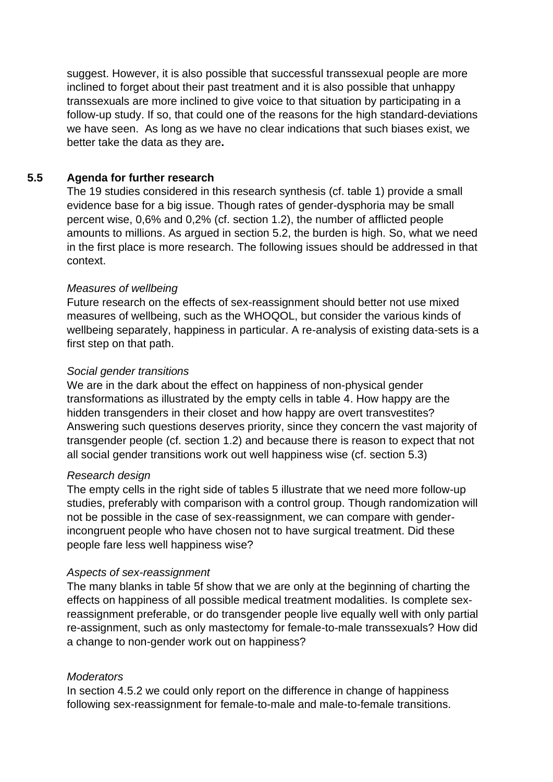suggest. However, it is also possible that successful transsexual people are more inclined to forget about their past treatment and it is also possible that unhappy transsexuals are more inclined to give voice to that situation by participating in a follow-up study. If so, that could one of the reasons for the high standard-deviations we have seen. As long as we have no clear indications that such biases exist, we better take the data as they are**.**

## **5.5 Agenda for further research**

The 19 studies considered in this research synthesis (cf. table 1) provide a small evidence base for a big issue. Though rates of gender-dysphoria may be small percent wise, 0,6% and 0,2% (cf. section 1.2), the number of afflicted people amounts to millions. As argued in section 5.2, the burden is high. So, what we need in the first place is more research. The following issues should be addressed in that context.

#### *Measures of wellbeing*

Future research on the effects of sex-reassignment should better not use mixed measures of wellbeing, such as the WHOQOL, but consider the various kinds of wellbeing separately, happiness in particular. A re-analysis of existing data-sets is a first step on that path.

### *Social gender transitions*

We are in the dark about the effect on happiness of non-physical gender transformations as illustrated by the empty cells in table 4. How happy are the hidden transgenders in their closet and how happy are overt transvestites? Answering such questions deserves priority, since they concern the vast majority of transgender people (cf. section 1.2) and because there is reason to expect that not all social gender transitions work out well happiness wise (cf. section 5.3)

#### *Research design*

The empty cells in the right side of tables 5 illustrate that we need more follow-up studies, preferably with comparison with a control group. Though randomization will not be possible in the case of sex-reassignment, we can compare with genderincongruent people who have chosen not to have surgical treatment. Did these people fare less well happiness wise?

#### *Aspects of sex-reassignment*

The many blanks in table 5f show that we are only at the beginning of charting the effects on happiness of all possible medical treatment modalities. Is complete sexreassignment preferable, or do transgender people live equally well with only partial re-assignment, such as only mastectomy for female-to-male transsexuals? How did a change to non-gender work out on happiness?

## *Moderators*

In section 4.5.2 we could only report on the difference in change of happiness following sex-reassignment for female-to-male and male-to-female transitions.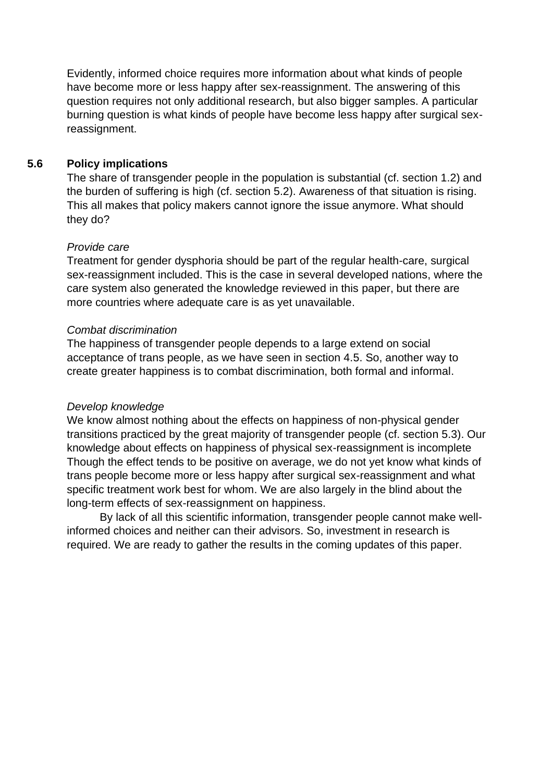Evidently, informed choice requires more information about what kinds of people have become more or less happy after sex-reassignment. The answering of this question requires not only additional research, but also bigger samples. A particular burning question is what kinds of people have become less happy after surgical sexreassignment.

## **5.6 Policy implications**

The share of transgender people in the population is substantial (cf. section 1.2) and the burden of suffering is high (cf. section 5.2). Awareness of that situation is rising. This all makes that policy makers cannot ignore the issue anymore. What should they do?

#### *Provide care*

Treatment for gender dysphoria should be part of the regular health-care, surgical sex-reassignment included. This is the case in several developed nations, where the care system also generated the knowledge reviewed in this paper, but there are more countries where adequate care is as yet unavailable.

#### *Combat discrimination*

The happiness of transgender people depends to a large extend on social acceptance of trans people, as we have seen in section 4.5. So, another way to create greater happiness is to combat discrimination, both formal and informal.

#### *Develop knowledge*

We know almost nothing about the effects on happiness of non-physical gender transitions practiced by the great majority of transgender people (cf. section 5.3). Our knowledge about effects on happiness of physical sex-reassignment is incomplete Though the effect tends to be positive on average, we do not yet know what kinds of trans people become more or less happy after surgical sex-reassignment and what specific treatment work best for whom. We are also largely in the blind about the long-term effects of sex-reassignment on happiness.

By lack of all this scientific information, transgender people cannot make wellinformed choices and neither can their advisors. So, investment in research is required. We are ready to gather the results in the coming updates of this paper.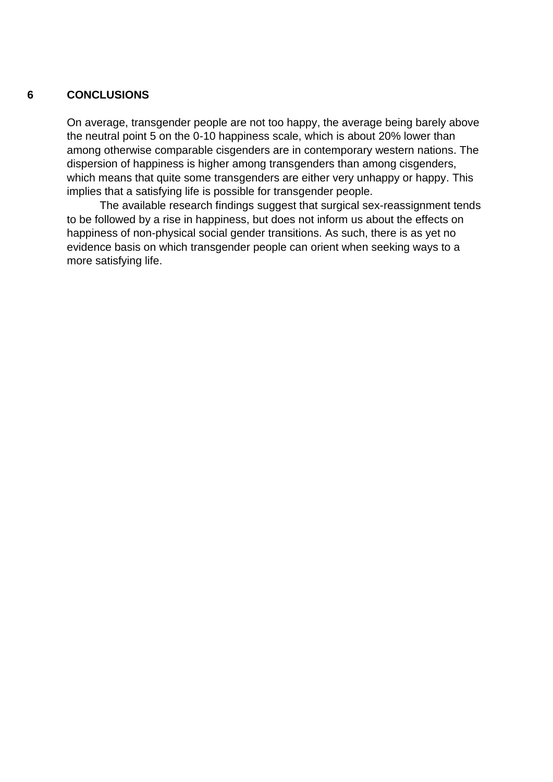#### **6 CONCLUSIONS**

On average, transgender people are not too happy, the average being barely above the neutral point 5 on the 0-10 happiness scale, which is about 20% lower than among otherwise comparable cisgenders are in contemporary western nations. The dispersion of happiness is higher among transgenders than among cisgenders, which means that quite some transgenders are either very unhappy or happy. This implies that a satisfying life is possible for transgender people.

 The available research findings suggest that surgical sex-reassignment tends to be followed by a rise in happiness, but does not inform us about the effects on happiness of non-physical social gender transitions. As such, there is as yet no evidence basis on which transgender people can orient when seeking ways to a more satisfying life.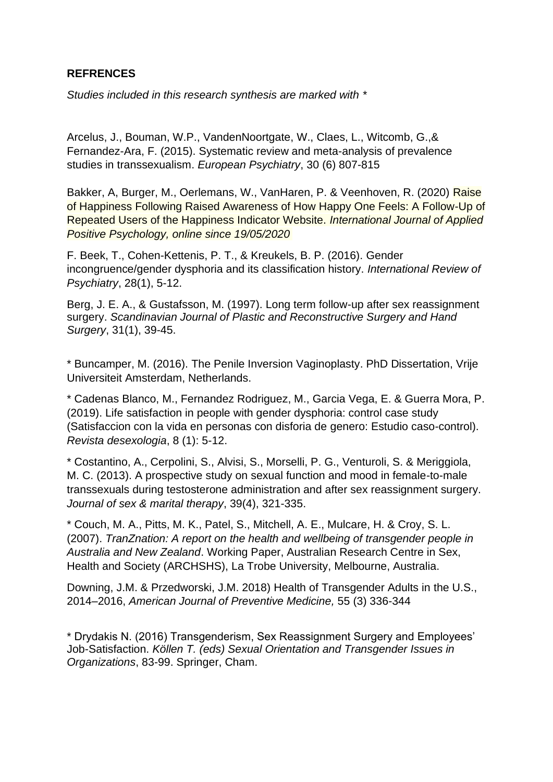## **REFRENCES**

*Studies included in this research synthesis are marked with \**

[Arcelus,](https://www.sciencedirect.com/science/article/pii/S0924933815000917#!) J., [Bouman,](https://www.sciencedirect.com/science/article/pii/S0924933815000917#!) W.P., [VandenNoortgate,](https://www.sciencedirect.com/science/article/pii/S0924933815000917#!) W., [Claes,](https://www.sciencedirect.com/science/article/pii/S0924933815000917#!) L[., Witcomb,](https://www.sciencedirect.com/science/article/pii/S0924933815000917#!) G.,& [Fernandez-Ara,](https://www.sciencedirect.com/science/article/pii/S0924933815000917#!) F. (2015). Systematic review and meta-analysis of prevalence studies in transsexualism. *European Psychiatry*, 30 (6) 807-815

Bakker, A, Burger, M., Oerlemans, W., VanHaren, P. & Veenhoven, R. (2020) Raise of Happiness Following Raised Awareness of How Happy One Feels: A Follow-Up of Repeated Users of the Happiness Indicator Website. *International Journal of Applied Positive Psychology, online since 19/05/2020*

F. Beek, T., Cohen-Kettenis, P. T., & Kreukels, B. P. (2016). Gender incongruence/gender dysphoria and its classification history. *International Review of Psychiatry*, 28(1), 5-12.

Berg, J. E. A., & Gustafsson, M. (1997). Long term follow-up after sex reassignment surgery. *Scandinavian Journal of Plastic and Reconstructive Surgery and Hand Surgery*, 31(1), 39-45.

\* Buncamper, M. (2016). The Penile Inversion Vaginoplasty. PhD Dissertation, Vrije Universiteit Amsterdam, Netherlands.

\* Cadenas Blanco, M., Fernandez Rodriguez, M., Garcia Vega, E. & Guerra Mora, P. (2019). Life satisfaction in people with gender dysphoria: control case study (Satisfaccion con la vida en personas con disforia de genero: Estudio caso-control). *Revista desexologia*, 8 (1): 5-12.

\* Costantino, A., Cerpolini, S., Alvisi, S., Morselli, P. G., Venturoli, S. & Meriggiola, M. C. (2013). A prospective study on sexual function and mood in female-to-male transsexuals during testosterone administration and after sex reassignment surgery. *Journal of sex & marital therapy*, 39(4), 321-335.

\* Couch, M. A., Pitts, M. K., Patel, S., Mitchell, A. E., Mulcare, H. & Croy, S. L. (2007). *TranZnation: A report on the health and wellbeing of transgender people in Australia and New Zealand*. Working Paper, Australian Research Centre in Sex, Health and Society (ARCHSHS), La Trobe University, Melbourne, Australia.

Downing, J.M. & Przedworski, J.M. 2018) Health of Transgender Adults in the U.S., 2014–2016, *[American Journal of Preventive Medicine,](https://www.sciencedirect.com/science/journal/07493797)* 55 (3) 336-344

\* Drydakis N. (2016) Transgenderism, Sex Reassignment Surgery and Employees' Job-Satisfaction. *Köllen T. (eds) Sexual Orientation and Transgender Issues in Organizations*, 83-99. Springer, Cham.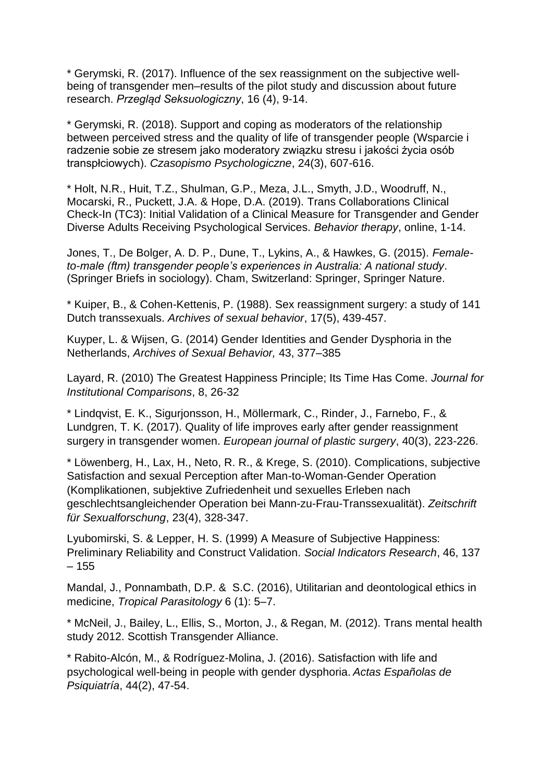\* Gerymski, R. (2017). Influence of the sex reassignment on the subjective wellbeing of transgender men–results of the pilot study and discussion about future research. *Przegląd Seksuologiczny*, 16 (4), 9-14.

\* Gerymski, R. (2018). Support and coping as moderators of the relationship between perceived stress and the quality of life of transgender people (Wsparcie i radzenie sobie ze stresem jako moderatory związku stresu i jakości życia osób transpłciowych). *Czasopismo Psychologiczne*, 24(3), 607-616.

\* Holt, N.R., Huit, T.Z., Shulman, G.P., Meza, J.L., Smyth, J.D., Woodruff, N., Mocarski, R., Puckett, J.A. & Hope, D.A. (2019). Trans Collaborations Clinical Check-In (TC3): Initial Validation of a Clinical Measure for Transgender and Gender Diverse Adults Receiving Psychological Services. *Behavior therapy*, online, 1-14.

Jones, T., De Bolger, A. D. P., Dune, T., Lykins, A., & Hawkes, G. (2015). *Femaleto-male (ftm) transgender people's experiences in Australia: A national study*. (Springer Briefs in sociology). Cham, Switzerland: Springer, Springer Nature.

\* Kuiper, B., & Cohen-Kettenis, P. (1988). Sex reassignment surgery: a study of 141 Dutch transsexuals. *Archives of sexual behavior*, 17(5), 439-457.

[Kuyper,](https://link.springer.com/article/10.1007/s10508-013-0140-y#auth-1) L. & Wijsen, G. (2014) Gender Identities and Gender Dysphoria in the Netherlands, *Archives of Sexual Behavior,* 43, 377–385

Layard, R. (2010) The Greatest Happiness Principle; Its Time Has Come. *Journal for Institutional Comparisons*, 8, 26-32

\* Lindqvist, E. K., Sigurjonsson, H., Möllermark, C., Rinder, J., Farnebo, F., & Lundgren, T. K. (2017). Quality of life improves early after gender reassignment surgery in transgender women. *European journal of plastic surgery*, 40(3), 223-226.

\* Löwenberg, H., Lax, H., Neto, R. R., & Krege, S. (2010). Complications, subjective Satisfaction and sexual Perception after Man-to-Woman-Gender Operation (Komplikationen, subjektive Zufriedenheit und sexuelles Erleben nach geschlechtsangleichender Operation bei Mann-zu-Frau-Transsexualität). *Zeitschrift für Sexualforschung*, 23(4), 328-347.

Lyubomirski, S. & Lepper, H. S. (1999) A Measure of Subjective Happiness: Preliminary Reliability and Construct Validation. *Social Indicators Research*, 46, 137 – 155

[Mandal,](https://www.ncbi.nlm.nih.gov/pubmed/?term=Mandal%20J%5BAuthor%5D&cauthor=true&cauthor_uid=26998430) J., [Ponnambath,](https://www.ncbi.nlm.nih.gov/pubmed/?term=Ponnambath%20DK%5BAuthor%5D&cauthor=true&cauthor_uid=26998430) D.P. & S.C. (2016), Utilitarian and deontological ethics in medicine, *[Tropical Parasitolo](https://www.ncbi.nlm.nih.gov/pmc/articles/PMC4778182/)gy* 6 (1): 5–7.

\* McNeil, J., Bailey, L., Ellis, S., Morton, J., & Regan, M. (2012). Trans mental health study 2012. Scottish Transgender Alliance.

\* Rabito-Alcón, M., & Rodríguez-Molina, J. (2016). Satisfaction with life and psychological well-being in people with gender dysphoria. *Actas Españolas de Psiquiatría*, 44(2), 47-54.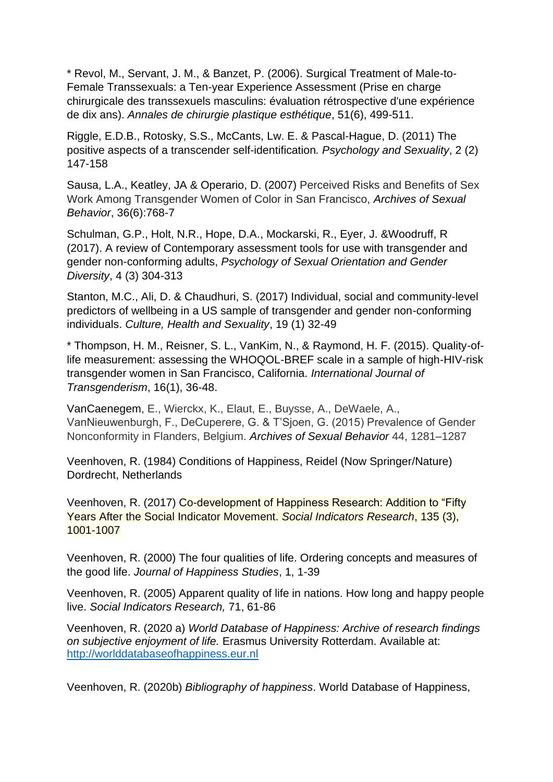\* Revol, M., Servant, J. M., & Banzet, P. (2006). Surgical Treatment of Male-to-Female Transsexuals: a Ten-year Experience Assessment (Prise en charge chirurgicale des transsexuels masculins: évaluation rétrospective d'une expérience de dix ans). *Annales de chirurgie plastique esthétique*, 51(6), 499-511.

Riggle, E.D.B., Rotosky, S.S., McCants, Lw. E. & Pascal-Hague, D. (2011) The positive aspects of a transcender self-identification*. Psychology and Sexuality*, 2 (2) 147-158

Sausa, L.A., Keatley, JA & Operario, D. (2007) Perceived Risks and Benefits of Sex Work Among Transgender Women of Color in San Francisco, *Archives of Sexual Behavior*, 36(6):768-7

Schulman, G.P., Holt, N.R., Hope, D.A., Mockarski, R., Eyer, J. &Woodruff, R (2017). A review of Contemporary assessment tools for use with transgender and gender non-conforming adults, *Psychology of Sexual Orientation and Gender Diversity*, 4 (3) 304-313

Stanton, M.C., Ali, D. & Chaudhuri, S. (2017) Individual, social and community-level predictors of wellbeing in a US sample of transgender and gender non-conforming individuals. *Culture, Health and Sexuality*, 19 (1) 32-49

\* Thompson, H. M., Reisner, S. L., VanKim, N., & Raymond, H. F. (2015). Quality-oflife measurement: assessing the WHOQOL-BREF scale in a sample of high-HIV-risk transgender women in San Francisco, California. *International Journal of Transgenderism*, 16(1), 36-48.

VanCaenegem, E., Wierckx, K., Elaut, E., Buysse, A., DeWaele, A., VanNieuwenburgh, F., DeCuperere, G. & T'Sjoen, G. (2015) Prevalence of Gender Nonconformity in Flanders, Belgium. *Archives of Sexual Behavior* 44, 1281–1287

Veenhoven, R. (1984) Conditions of Happiness, Reidel (Now Springer/Nature) Dordrecht, Netherlands

Veenhoven, R. (2017) Co-development of Happiness Research: Addition to "Fifty Years After the Social Indicator Movement. *Social Indicators Research*, 135 (3), 1001-1007

Veenhoven, R. (2000) The four qualities of life. Ordering concepts and measures of the good life. *Journal of Happiness Studies*, 1, 1-39

Veenhoven, R. (2005) Apparent quality of life in nations. How long and happy people live. *Social Indicators Research,* 71, 61-86

Veenhoven, R. (2020 a) *World Database of Happiness: Archive of research findings on subjective enjoyment of life.* Erasmus University Rotterdam. Available at: [http://worlddatabaseofhappiness.eur.nl](http://worlddatabaseofhappiness.eur.nl/)

Veenhoven, R. (2020b) *Bibliography of happiness*. World Database of Happiness,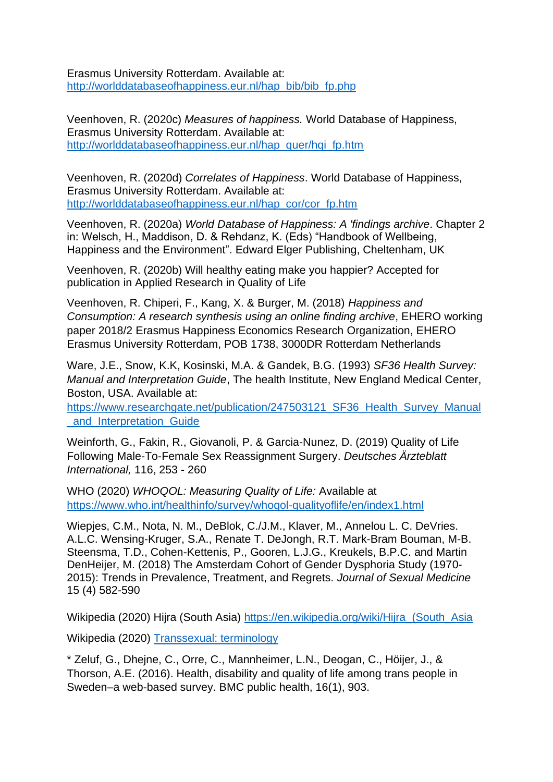Erasmus University Rotterdam. Available at: [http://worlddatabaseofhappiness.eur.nl/hap\\_bib/bib\\_fp.php](http://worlddatabaseofhappiness.eur.nl/hap_bib/bib_fp.php)

Veenhoven, R. (2020c) *Measures of happiness.* World Database of Happiness, Erasmus University Rotterdam. Available at: [http://worlddatabaseofhappiness.eur.nl/hap\\_quer/hqi\\_fp.htm](http://worlddatabaseofhappiness.eur.nl/hap_quer/hqi_fp.htm)

Veenhoven, R. (2020d) *Correlates of Happiness*. World Database of Happiness, Erasmus University Rotterdam. Available at: [http://worlddatabaseofhappiness.eur.nl/hap\\_cor/cor\\_fp.htm](http://worlddatabaseofhappiness.eur.nl/hap_cor/cor_fp.htm)

Veenhoven, R. (2020a) *World Database of Happiness: A 'findings archive*. Chapter 2 in: Welsch, H., Maddison, D. & Rehdanz, K. (Eds) "Handbook of Wellbeing, Happiness and the Environment". Edward Elger Publishing, Cheltenham, UK

Veenhoven, R. (2020b) Will healthy eating make you happier? Accepted for publication in Applied Research in Quality of Life

Veenhoven, R. Chiperi, F., Kang, X. & Burger, M. (2018) *Happiness and Consumption: A research synthesis using an online finding archive*, EHERO working paper 2018/2 Erasmus Happiness Economics Research Organization, EHERO Erasmus University Rotterdam, POB 1738, 3000DR Rotterdam Netherlands

Ware, J.E., Snow, K.K, Kosinski, M.A. & Gandek, B.G. (1993) *SF36 Health Survey: Manual and Interpretation Guide*, The health Institute, New England Medical Center, Boston, USA. Available at:

[https://www.researchgate.net/publication/247503121\\_SF36\\_Health\\_Survey\\_Manual](https://www.researchgate.net/publication/247503121_SF36_Health_Survey_Manual_and_Interpretation_Guide) [\\_and\\_Interpretation\\_Guide](https://www.researchgate.net/publication/247503121_SF36_Health_Survey_Manual_and_Interpretation_Guide)

Weinforth, G., Fakin, R., Giovanoli, P. & Garcia-Nunez, D. (2019) Quality of Life Following Male-To-Female Sex Reassignment Surgery. *Deutsches Ärzteblatt International,* 116, 253 - 260

WHO (2020) *WHOQOL: Measuring Quality of Life:* Available at <https://www.who.int/healthinfo/survey/whoqol-qualityoflife/en/index1.html>

Wiepjes, C.M., Nota, N. M., DeBlok, C./J.M., Klaver, M., Annelou L. C. DeVries. A.L.C. Wensing-Kruger, S.A., Renate T. DeJongh, R.T. Mark-Bram Bouman, M-B. Steensma, T.D., Cohen-Kettenis, P., Gooren, L.J.G., Kreukels, B.P.C. and Martin DenHeijer, M. (2018) The Amsterdam Cohort of Gender Dysphoria Study (1970- 2015): Trends in Prevalence, Treatment, and Regrets. *Journal of Sexual Medicine* 15 (4) 582-590

Wikipedia (2020) Hijra (South Asia) https://en.wikipedia.org/wiki/Hijra (South Asia

Wikipedia (2020) [Transsexual:](https://en.wikipedia.org/wiki/Transsexual) terminology

\* Zeluf, G., Dhejne, C., Orre, C., Mannheimer, L.N., Deogan, C., Höijer, J., & Thorson, A.E. (2016). Health, disability and quality of life among trans people in Sweden–a web-based survey. BMC public health, 16(1), 903.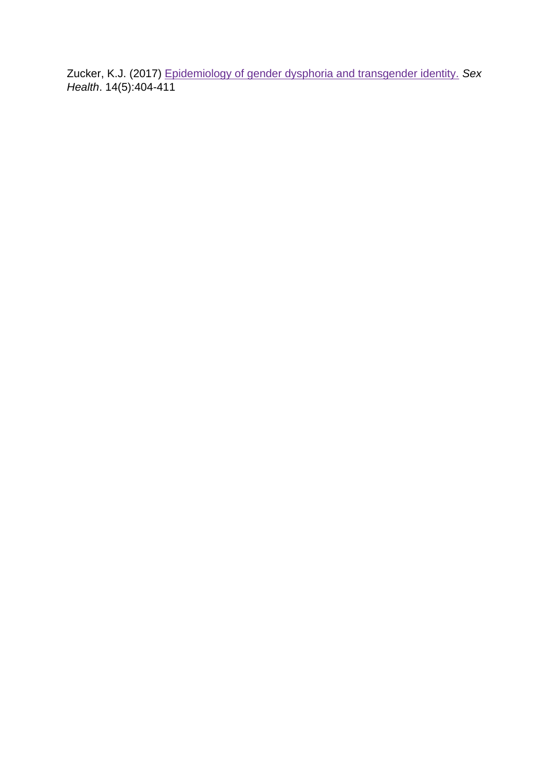<span id="page-31-0"></span>Zucker, K.J. (2017) [Epidemiology of gender dysphoria and transgender identity.](https://www.ncbi.nlm.nih.gov/pubmed/28838353) *Sex Health*. 14(5):404-411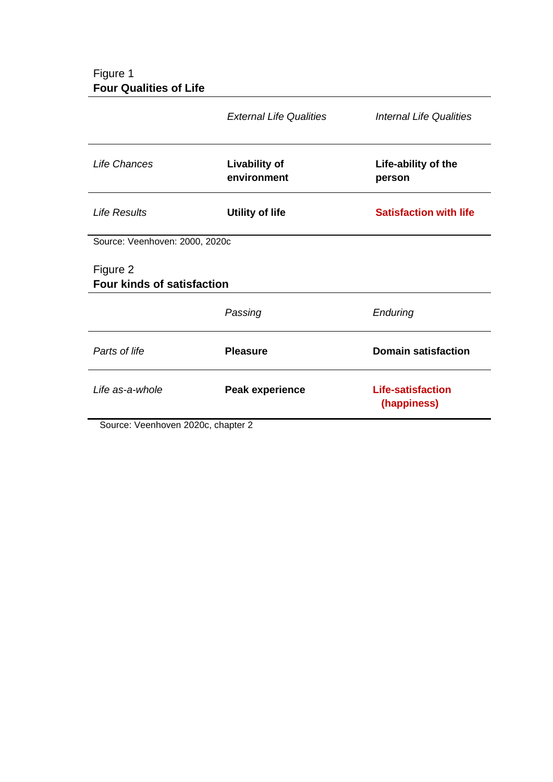## Figure 1 **Four Qualities of Life**

|                                                               | <b>External Life Qualities</b>      | <b>Internal Life Qualities</b>          |
|---------------------------------------------------------------|-------------------------------------|-----------------------------------------|
| Life Chances                                                  | <b>Livability of</b><br>environment | Life-ability of the<br>person           |
| <b>Life Results</b>                                           | <b>Utility of life</b>              | <b>Satisfaction with life</b>           |
| Source: Veenhoven: 2000, 2020c                                |                                     |                                         |
| Figure 2<br><b>Four kinds of satisfaction</b>                 |                                     |                                         |
|                                                               | Passing                             | Enduring                                |
| Parts of life                                                 | <b>Pleasure</b>                     | <b>Domain satisfaction</b>              |
| Life as-a-whole                                               | <b>Peak experience</b>              | <b>Life-satisfaction</b><br>(happiness) |
| $\sim$ . Me $\sim$ $\sim$ Lemma<br>ົ.<br>$0.000 - 1.1 + 1.00$ |                                     |                                         |

<span id="page-32-0"></span>Source: Veenhoven 2020c, chapter 2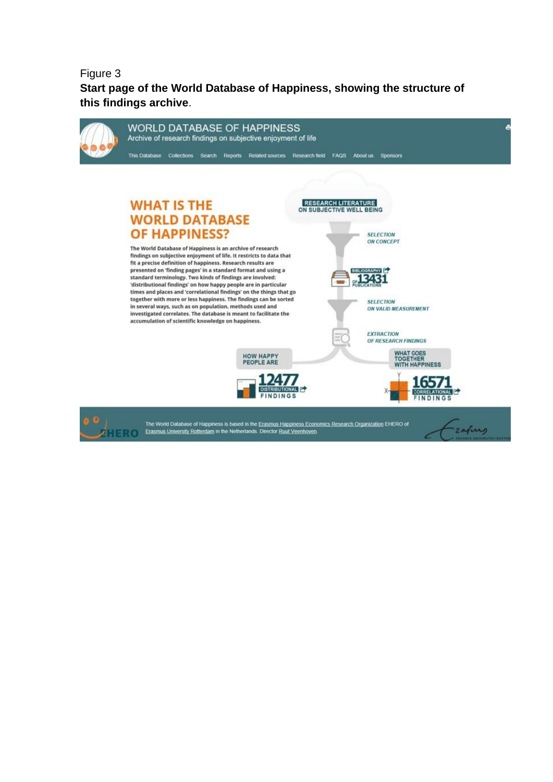Figure 3 **Start page of the World Database of Happiness, showing the structure of this findings archive**.

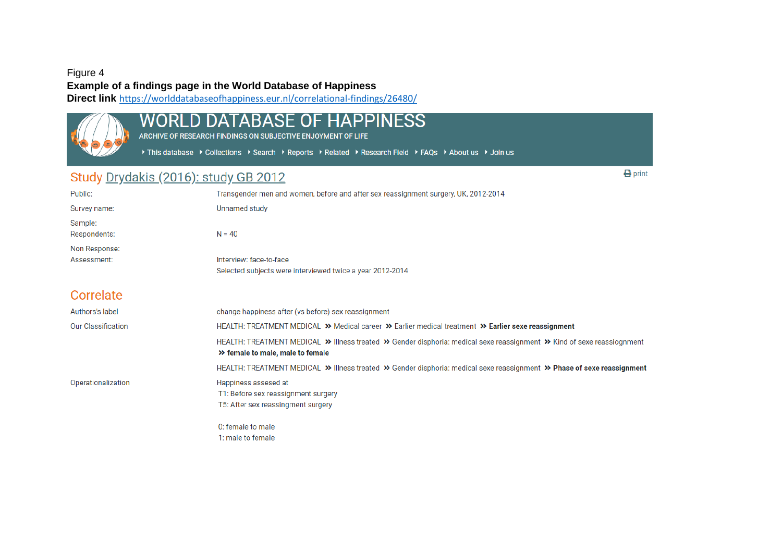#### Figure 4

**Example of a findings page in the World Database of Happiness**

**Direct link** <https://worlddatabaseofhappiness.eur.nl/correlational-findings/26480/>



# WORLD DATABASE OF HAPPINESS

ARCHIVE OF RESEARCH FINDINGS ON SUBJECTIVE ENJOYMENT OF LIFE

> This database > Collections > Search > Reports > Related > Research Field > FAQs > About us > Join us

## Study Drydakis (2016): study GB 2012

<span id="page-34-0"></span>Transgender men and women, before and after sex reassignment surgery, UK, 2012-2014 Public: Survey name: **Unnamed study** Sample: Respondents:  $N = 40$ Non Response: Assessment: Interview: face-to-face Selected subjects were interviewed twice a year 2012-2014 Correlate Authors's label change happiness after (vs before) sex reassignment **Our Classification** HEALTH: TREATMENT MEDICAL >> Medical career >> Earlier medical treatment >> Earlier sexe reassignment HEALTH: TREATMENT MEDICAL >> Illness treated >> Gender disphoria: medical sexe reassignment >> Kind of sexe reassiognment >> female to male, male to female HEALTH: TREATMENT MEDICAL >> Illness treated >> Gender disphoria: medical sexe reassignment >> Phase of sexe reassignment Operationalization Happiness assesed at T1: Before sex reassignment surgery T5: After sex reassingment surgery 0: female to male

 $\bigoplus$  print

1: male to female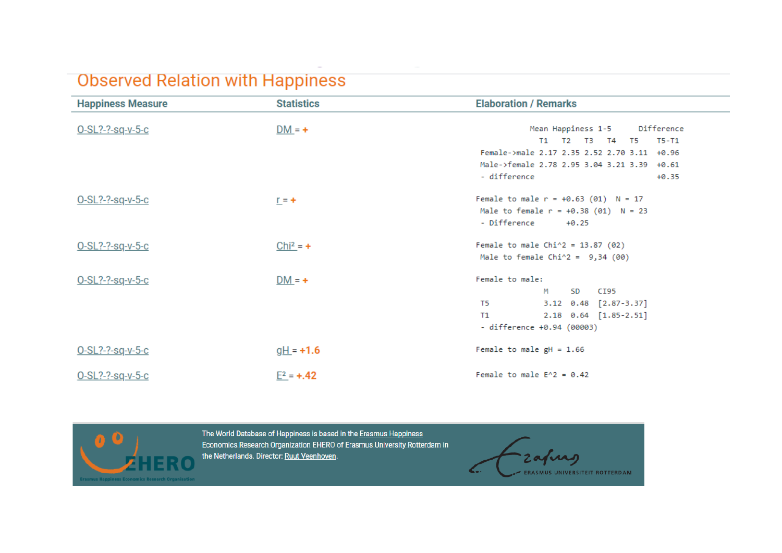# **Observed Relation with Happiness**

| <b>Happiness Measure</b> | <b>Statistics</b> | <b>Elaboration / Remarks</b>                                                                                    |  |  |  |  |
|--------------------------|-------------------|-----------------------------------------------------------------------------------------------------------------|--|--|--|--|
| 0-SL?-?-sq-v-5-c         | $DM = +$          | Mean Happiness 1-5 Difference<br>T1 T2 T3 T4 T5<br>T5-T1                                                        |  |  |  |  |
|                          |                   | Female->male 2.17 2.35 2.52 2.70 3.11 +0.96                                                                     |  |  |  |  |
|                          |                   | Male->female 2.78 2.95 3.04 3.21 3.39 +0.61                                                                     |  |  |  |  |
|                          |                   | - difference<br>$+0.35$                                                                                         |  |  |  |  |
| 0-SL?-?-sq-v-5-c         | $r = +$           | Female to male $r = +0.63$ (01) $N = 17$<br>Male to female $r = +0.38$ (01) $N = 23$<br>- Difference<br>$+0.25$ |  |  |  |  |
| O-SL?-?-sq-v-5-c         | $Chi^2 = +$       | Female to male $Chi^2 = 13.87$ (02)<br>Male to female $Chi^2 = 9,34$ (00)                                       |  |  |  |  |
| $O-SL? - Sq-v-5-c$       | $DM = +$          | Female to male:                                                                                                 |  |  |  |  |
|                          |                   | SD.<br>M<br>CI95                                                                                                |  |  |  |  |
|                          |                   | 3.12 0.48 [2.87-3.37]<br>T5 1                                                                                   |  |  |  |  |
|                          |                   | 2.18 0.64 [1.85-2.51]<br>T1                                                                                     |  |  |  |  |
|                          |                   | - difference +0.94 (00003)                                                                                      |  |  |  |  |
| 0-SL?-?-sq-v-5-c         | $gH = +1.6$       | Female to male $gH = 1.66$                                                                                      |  |  |  |  |
| 0-SL?-?-sq-v-5-c         | $E^2 = +0.42$     | Female to male $E^2 = 0.42$                                                                                     |  |  |  |  |



The World Database of Happiness is based in the Erasmus Happiness Economics Research Organization EHERO of Erasmus University Rotterdam in the Netherlands. Director: Ruut Veenhoven.

zafung ERASMUS UNIVERSITEIT ROTTERDAM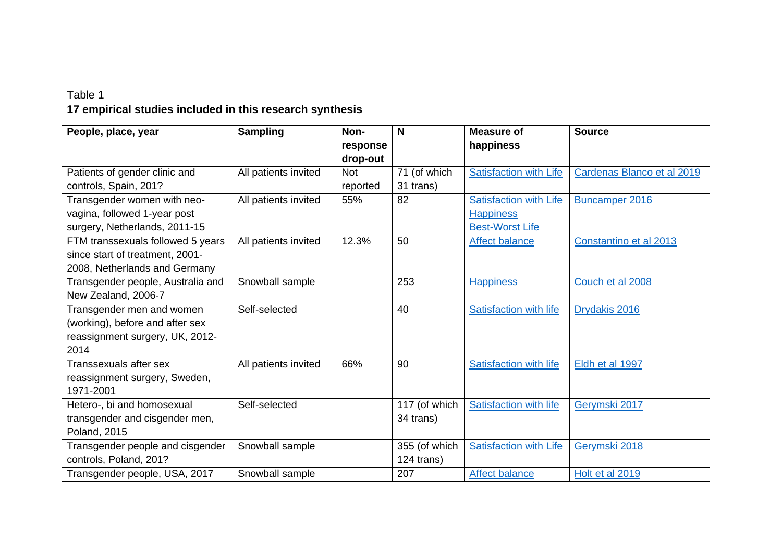# Table 1 **17 empirical studies included in this research synthesis**

<span id="page-36-0"></span>

| People, place, year                                                                                     | <b>Sampling</b>      | Non-<br>response<br>drop-out | N                           | <b>Measure of</b><br>happiness                                              | <b>Source</b>              |
|---------------------------------------------------------------------------------------------------------|----------------------|------------------------------|-----------------------------|-----------------------------------------------------------------------------|----------------------------|
| Patients of gender clinic and<br>controls, Spain, 201?                                                  | All patients invited | <b>Not</b><br>reported       | 71 (of which<br>31 trans)   | <b>Satisfaction with Life</b>                                               | Cardenas Blanco et al 2019 |
| Transgender women with neo-<br>vagina, followed 1-year post<br>surgery, Netherlands, 2011-15            | All patients invited | 55%                          | 82                          | <b>Satisfaction with Life</b><br><b>Happiness</b><br><b>Best-Worst Life</b> | Buncamper 2016             |
| FTM transsexuals followed 5 years<br>since start of treatment, 2001-<br>2008, Netherlands and Germany   | All patients invited | 12.3%                        | 50                          | <b>Affect balance</b>                                                       | Constantino et al 2013     |
| Transgender people, Australia and<br>New Zealand, 2006-7                                                | Snowball sample      |                              | 253                         | <b>Happiness</b>                                                            | Couch et al 2008           |
| Transgender men and women<br>(working), before and after sex<br>reassignment surgery, UK, 2012-<br>2014 | Self-selected        |                              | 40                          | <b>Satisfaction with life</b>                                               | Drydakis 2016              |
| Transsexuals after sex<br>reassignment surgery, Sweden,<br>1971-2001                                    | All patients invited | 66%                          | 90                          | <b>Satisfaction with life</b>                                               | Eldh et al 1997            |
| Hetero-, bi and homosexual<br>transgender and cisgender men,<br>Poland, 2015                            | Self-selected        |                              | 117 (of which<br>34 trans)  | <b>Satisfaction with life</b>                                               | Gerymski 2017              |
| Transgender people and cisgender<br>controls, Poland, 201?                                              | Snowball sample      |                              | 355 (of which<br>124 trans) | <b>Satisfaction with Life</b>                                               | Gerymski 2018              |
| Transgender people, USA, 2017                                                                           | Snowball sample      |                              | 207                         | <b>Affect balance</b>                                                       | Holt et al 2019            |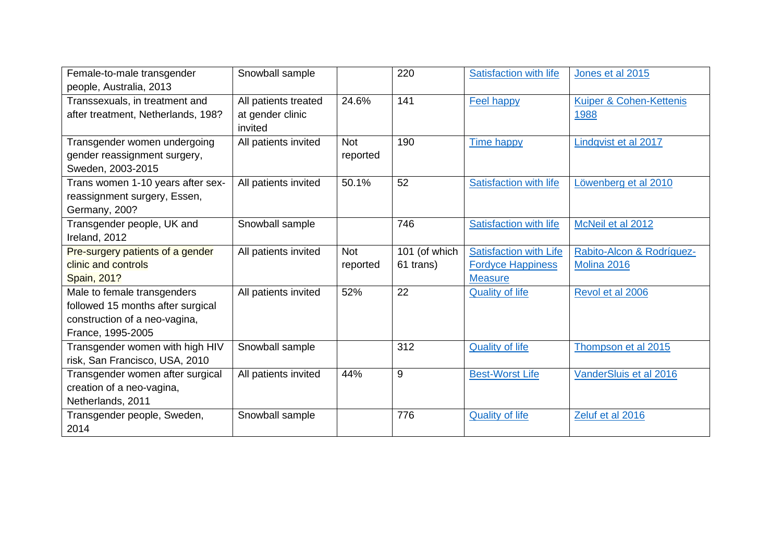| Female-to-male transgender         | Snowball sample             |            | 220           | <b>Satisfaction with life</b> | Jones et al 2015          |
|------------------------------------|-----------------------------|------------|---------------|-------------------------------|---------------------------|
| people, Australia, 2013            |                             |            |               |                               |                           |
| Transsexuals, in treatment and     | All patients treated        | 24.6%      | 141           | <b>Feel happy</b>             | Kuiper & Cohen-Kettenis   |
| after treatment, Netherlands, 198? | at gender clinic<br>invited |            |               |                               | 1988                      |
| Transgender women undergoing       | All patients invited        | <b>Not</b> | 190           | <b>Time happy</b>             | Lindqvist et al 2017      |
| gender reassignment surgery,       |                             | reported   |               |                               |                           |
| Sweden, 2003-2015                  |                             |            |               |                               |                           |
| Trans women 1-10 years after sex-  | All patients invited        | 50.1%      | 52            | <b>Satisfaction with life</b> | Löwenberg et al 2010      |
| reassignment surgery, Essen,       |                             |            |               |                               |                           |
| Germany, 200?                      |                             |            |               |                               |                           |
| Transgender people, UK and         | Snowball sample             |            | 746           | <b>Satisfaction with life</b> | McNeil et al 2012         |
| Ireland, 2012                      |                             |            |               |                               |                           |
| Pre-surgery patients of a gender   | All patients invited        | <b>Not</b> | 101 (of which | <b>Satisfaction with Life</b> | Rabito-Alcon & Rodríguez- |
| clinic and controls                |                             | reported   | 61 trans)     | <b>Fordyce Happiness</b>      | Molina 2016               |
| <b>Spain, 201?</b>                 |                             |            |               | <b>Measure</b>                |                           |
| Male to female transgenders        | All patients invited        | 52%        | 22            | <b>Quality of life</b>        | Revol et al 2006          |
| followed 15 months after surgical  |                             |            |               |                               |                           |
| construction of a neo-vagina,      |                             |            |               |                               |                           |
| France, 1995-2005                  |                             |            |               |                               |                           |
| Transgender women with high HIV    | Snowball sample             |            | 312           | <b>Quality of life</b>        | Thompson et al 2015       |
| risk, San Francisco, USA, 2010     |                             |            |               |                               |                           |
| Transgender women after surgical   | All patients invited        | 44%        | 9             | <b>Best-Worst Life</b>        | VanderSluis et al 2016    |
| creation of a neo-vagina,          |                             |            |               |                               |                           |
| Netherlands, 2011                  |                             |            |               |                               |                           |
| Transgender people, Sweden,        | Snowball sample             |            | 776           | <b>Quality of life</b>        | Zeluf et al 2016          |
| 2014                               |                             |            |               |                               |                           |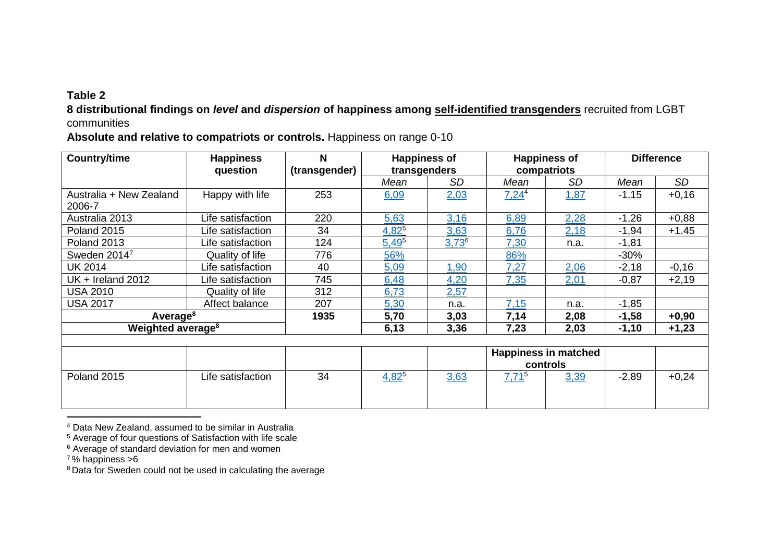## **Table 2**

**8 distributional findings on** *level* **and** *dispersion* **of happiness among self-identified transgenders** recruited from LGBT communities

**Absolute and relative to compatriots or controls.** Happiness on range 0-10

| <b>Country/time</b>               | <b>Happiness</b><br>question | N<br>(transgender) | <b>Happiness of</b><br>transgenders |            |          | <b>Happiness of</b><br>compatriots      | <b>Difference</b> |         |
|-----------------------------------|------------------------------|--------------------|-------------------------------------|------------|----------|-----------------------------------------|-------------------|---------|
|                                   |                              |                    | Mean                                | <b>SD</b>  | Mean     | <b>SD</b>                               | Mean              | SD      |
| Australia + New Zealand<br>2006-7 | Happy with life              | 253                | 6,09                                | 2,03       | $7,24^4$ | 1,87                                    | $-1,15$           | $+0,16$ |
| Australia 2013                    | Life satisfaction            | 220                | 5,63                                | 3,16       | 6,89     | 2,28                                    | $-1,26$           | $+0,88$ |
| Poland 2015                       | Life satisfaction            | 34                 | $4,82^{5}$                          | 3,63       | 6,76     | 2,18                                    | $-1,94$           | $+1.45$ |
| Poland 2013                       | Life satisfaction            | 124                | $5,49^{5}$                          | $3,73^{6}$ | 7,30     | n.a.                                    | $-1,81$           |         |
| Sweden 20147                      | Quality of life              | 776                | 56%                                 |            | 86%      |                                         | $-30%$            |         |
| UK 2014                           | Life satisfaction            | 40                 | 5,09                                | 1,90       | 7,27     | 2,06                                    | $-2,18$           | $-0,16$ |
| UK + Ireland 2012                 | Life satisfaction            | 745                | 6,48                                | 4,20       | 7,35     | 2,01                                    | $-0,87$           | $+2,19$ |
| <b>USA 2010</b>                   | Quality of life              | 312                | 6,73                                | 2,57       |          |                                         |                   |         |
| <b>USA 2017</b>                   | Affect balance               | 207                | 5,30                                | n.a.       | 7,15     | n.a.                                    | $-1,85$           |         |
| Average <sup>8</sup>              |                              | 1935               | 5,70                                | 3,03       | 7,14     | 2,08                                    | $-1,58$           | $+0,90$ |
| Weighted average <sup>8</sup>     |                              |                    | 6,13                                | 3,36       | 7,23     | 2,03                                    | $-1,10$           | $+1,23$ |
|                                   |                              |                    |                                     |            |          |                                         |                   |         |
|                                   |                              |                    |                                     |            |          | <b>Happiness in matched</b><br>controls |                   |         |
| Poland 2015                       | Life satisfaction            | 34                 | $4,82^{5}$                          | 3,63       | $7,71^5$ | 3,39                                    | $-2,89$           | $+0,24$ |

<span id="page-38-0"></span><sup>4</sup> Data New Zealand, assumed to be similar in Australia

<sup>5</sup> Average of four questions of Satisfaction with life scale

<sup>6</sup> Average of standard deviation for men and women

<sup>7</sup>% happiness >6

<sup>&</sup>lt;sup>8</sup> Data for Sweden could not be used in calculating the average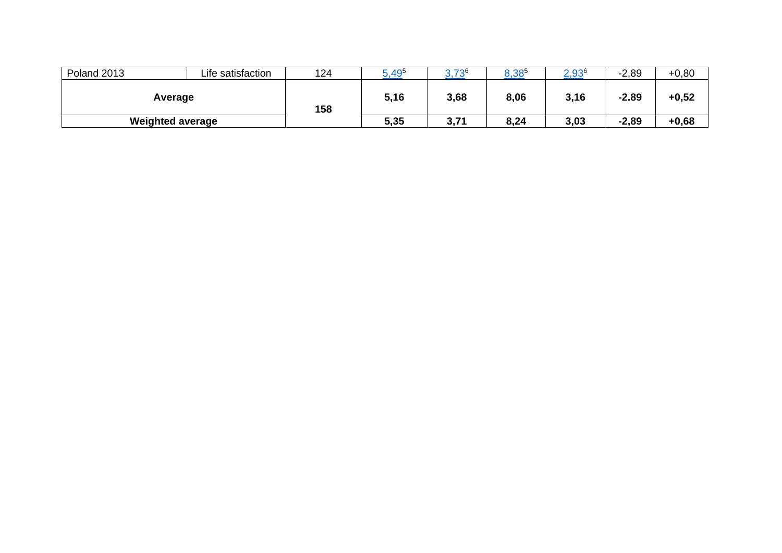| Poland 2013             | Life satisfaction | 124 | ,495 | 726        | $8,38^{5}$ | $2,93^{6}$ | $-2,89$ | $+0,80$ |
|-------------------------|-------------------|-----|------|------------|------------|------------|---------|---------|
| Average                 |                   | 158 | 5,16 | 3,68       | 8,06       | 3,16       | $-2.89$ | $+0,52$ |
| <b>Weighted average</b> |                   |     | 5,35 | 271<br>v., | 8,24       | 3,03       | $-2,89$ | $+0,68$ |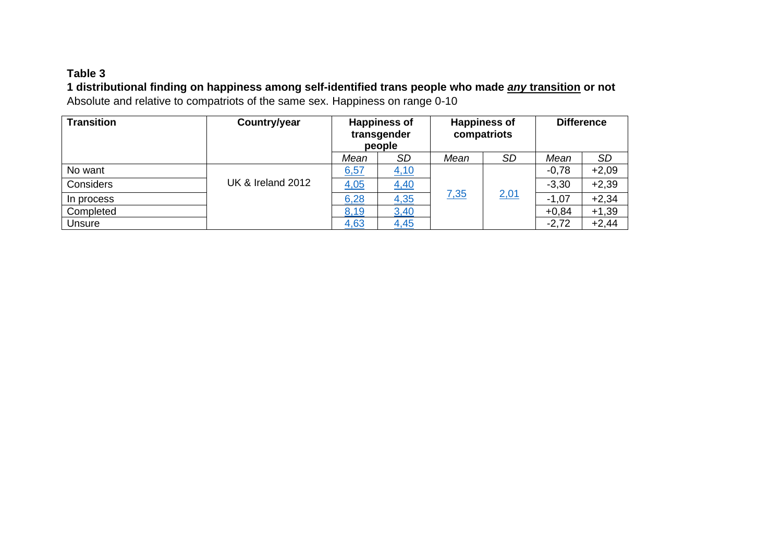## **Table 3**

**1 distributional finding on happiness among self-identified trans people who made** *any* **transition or not** Absolute and relative to compatriots of the same sex. Happiness on range 0-10

<span id="page-40-0"></span>

| <b>Transition</b> | Country/year      |      | <b>Happiness of</b><br>transgender<br>people |             | <b>Happiness of</b><br>compatriots |         | <b>Difference</b> |  |
|-------------------|-------------------|------|----------------------------------------------|-------------|------------------------------------|---------|-------------------|--|
|                   |                   | Mean | <b>SD</b>                                    | Mean        | <b>SD</b>                          | Mean    | SD                |  |
| No want           |                   | 6,57 | 4,10                                         |             |                                    | $-0,78$ | $+2,09$           |  |
| Considers         | UK & Ireland 2012 | 4,05 | 4,40                                         |             |                                    | $-3,30$ | $+2,39$           |  |
| In process        |                   | 6,28 | 4,35                                         | <u>7,35</u> | 2,01                               | $-1,07$ | $+2,34$           |  |
| Completed         |                   | 8,19 | 3,40                                         |             |                                    | $+0,84$ | $+1,39$           |  |
| Unsure            |                   | 4,63 | 4,45                                         |             |                                    | $-2,72$ | $+2,44$           |  |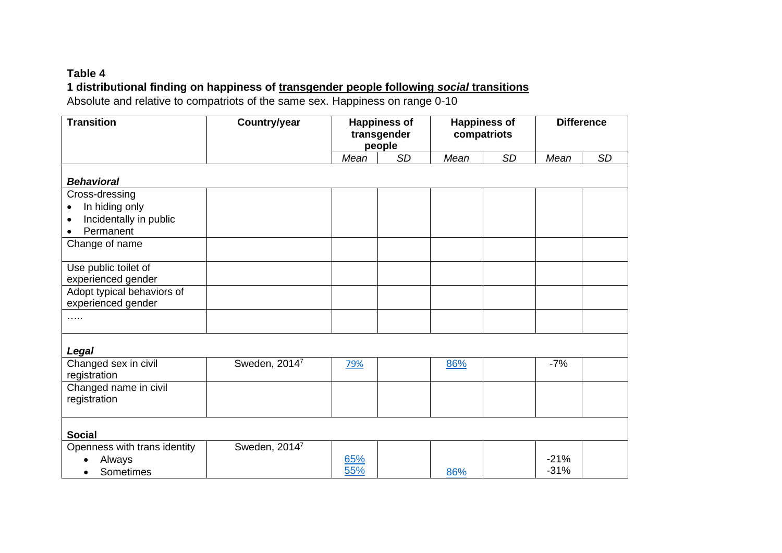## **Table 4 1 distributional finding on happiness of transgender people following** *social* **transitions**

Absolute and relative to compatriots of the same sex. Happiness on range 0-10

<span id="page-41-0"></span>

| <b>Transition</b>                     | Country/year<br><b>Happiness of</b><br>transgender<br>people |      | <b>Happiness of</b><br>compatriots |      |           | <b>Difference</b> |           |
|---------------------------------------|--------------------------------------------------------------|------|------------------------------------|------|-----------|-------------------|-----------|
|                                       |                                                              | Mean | <b>SD</b>                          | Mean | <b>SD</b> | Mean              | <b>SD</b> |
| <b>Behavioral</b>                     |                                                              |      |                                    |      |           |                   |           |
| Cross-dressing                        |                                                              |      |                                    |      |           |                   |           |
| In hiding only<br>$\bullet$           |                                                              |      |                                    |      |           |                   |           |
| Incidentally in public<br>$\bullet$   |                                                              |      |                                    |      |           |                   |           |
| Permanent<br>$\bullet$                |                                                              |      |                                    |      |           |                   |           |
| Change of name                        |                                                              |      |                                    |      |           |                   |           |
| Use public toilet of                  |                                                              |      |                                    |      |           |                   |           |
| experienced gender                    |                                                              |      |                                    |      |           |                   |           |
| Adopt typical behaviors of            |                                                              |      |                                    |      |           |                   |           |
| experienced gender                    |                                                              |      |                                    |      |           |                   |           |
| $\cdots$                              |                                                              |      |                                    |      |           |                   |           |
| Legal                                 |                                                              |      |                                    |      |           |                   |           |
| Changed sex in civil<br>registration  | Sweden, 20147                                                | 79%  |                                    | 86%  |           | $-7%$             |           |
| Changed name in civil<br>registration |                                                              |      |                                    |      |           |                   |           |
| <b>Social</b>                         |                                                              |      |                                    |      |           |                   |           |
| Openness with trans identity          | Sweden, 2014 <sup>7</sup>                                    |      |                                    |      |           |                   |           |
| Always                                |                                                              | 65%  |                                    |      |           | $-21%$            |           |
| Sometimes                             |                                                              | 55%  |                                    | 86%  |           | $-31%$            |           |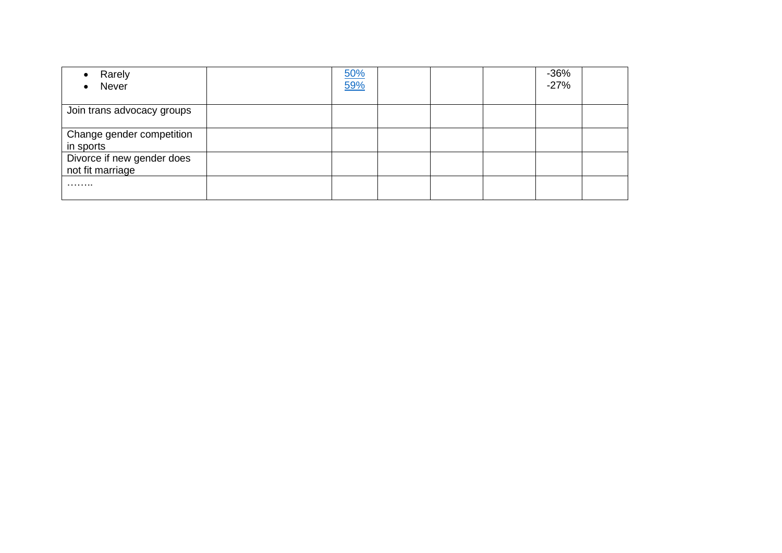| Rarely<br>Never<br>$\bullet$                   | 50%<br>59% |  | $-36%$<br>$-27%$ |  |
|------------------------------------------------|------------|--|------------------|--|
| Join trans advocacy groups                     |            |  |                  |  |
| Change gender competition<br>in sports         |            |  |                  |  |
| Divorce if new gender does<br>not fit marriage |            |  |                  |  |
| .                                              |            |  |                  |  |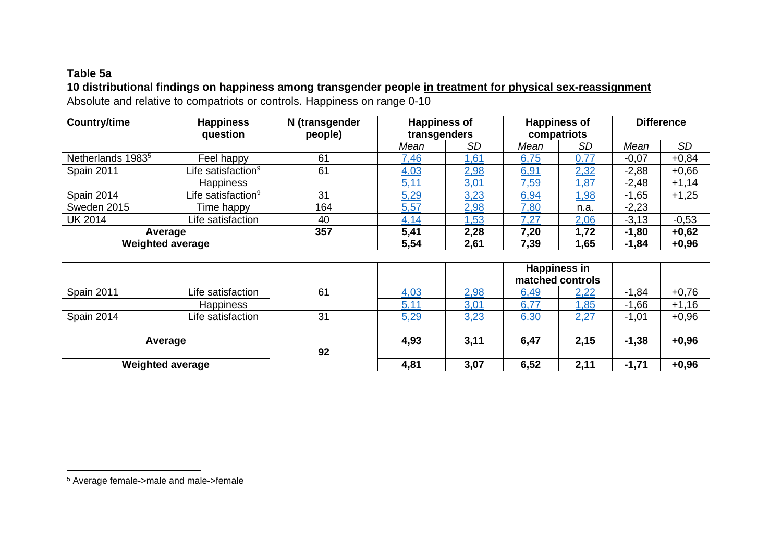## **Table 5a**

# **10 distributional findings on happiness among transgender people in treatment for physical sex-reassignment**

Absolute and relative to compatriots or controls. Happiness on range 0-10

| <b>Country/time</b>           | <b>Happiness</b>               | N (transgender | <b>Happiness of</b> |      |             | <b>Happiness of</b> |         | <b>Difference</b> |  |
|-------------------------------|--------------------------------|----------------|---------------------|------|-------------|---------------------|---------|-------------------|--|
|                               | question                       | people)        | transgenders        |      | compatriots |                     |         |                   |  |
|                               |                                |                | Mean                | SD   | Mean        | <b>SD</b>           | Mean    | SD                |  |
| Netherlands 1983 <sup>5</sup> | Feel happy                     | 61             | 7,46                | 1,61 | 6,75        | 0.77                | $-0,07$ | $+0,84$           |  |
| <b>Spain 2011</b>             | Life satisfaction <sup>9</sup> | 61             | 4,03                | 2,98 | 6,91        | 2,32                | $-2,88$ | $+0,66$           |  |
|                               | <b>Happiness</b>               |                | 5,11                | 3,01 | 7,59        | 1,87                | $-2,48$ | $+1,14$           |  |
| Spain 2014                    | Life satisfaction <sup>9</sup> | 31             | 5,29                | 3,23 | 6,94        | 1,98                | $-1,65$ | $+1,25$           |  |
| Sweden 2015                   | Time happy                     | 164            | 5,57                | 2,98 | 7,80        | n.a.                | $-2,23$ |                   |  |
| <b>UK 2014</b>                | Life satisfaction              | 40             | 4,14                | 1,53 | 7,27        | 2,06                | $-3,13$ | $-0,53$           |  |
| Average                       |                                | 357            | 5,41                | 2,28 | 7,20        | 1,72                | $-1,80$ | $+0,62$           |  |
| <b>Weighted average</b>       |                                |                | 5,54                | 2,61 | 7,39        | 1,65                | $-1,84$ | $+0,96$           |  |
|                               |                                |                |                     |      |             |                     |         |                   |  |
|                               |                                |                |                     |      |             | <b>Happiness in</b> |         |                   |  |
|                               |                                |                |                     |      |             | matched controls    |         |                   |  |
| Spain 2011                    | Life satisfaction              | 61             | 4,03                | 2,98 | 6,49        | 2,22                | $-1,84$ | $+0,76$           |  |
|                               | <b>Happiness</b>               |                | 5,11                | 3,01 | 6,77        | 1,85                | $-1,66$ | $+1,16$           |  |
| Spain 2014                    | Life satisfaction              | 31             | 5,29                | 3,23 | 6.30        | 2,27                | $-1,01$ | $+0,96$           |  |
|                               |                                |                |                     |      |             |                     |         |                   |  |
| Average                       |                                |                | 4,93                | 3,11 | 6,47        | 2,15                | $-1,38$ | $+0,96$           |  |
|                               |                                | 92             |                     |      |             |                     |         |                   |  |
| <b>Weighted average</b>       |                                |                | 4,81                | 3,07 | 6,52        | 2,11                | $-1,71$ | $+0,96$           |  |

<span id="page-43-0"></span><sup>5</sup> Average female->male and male->female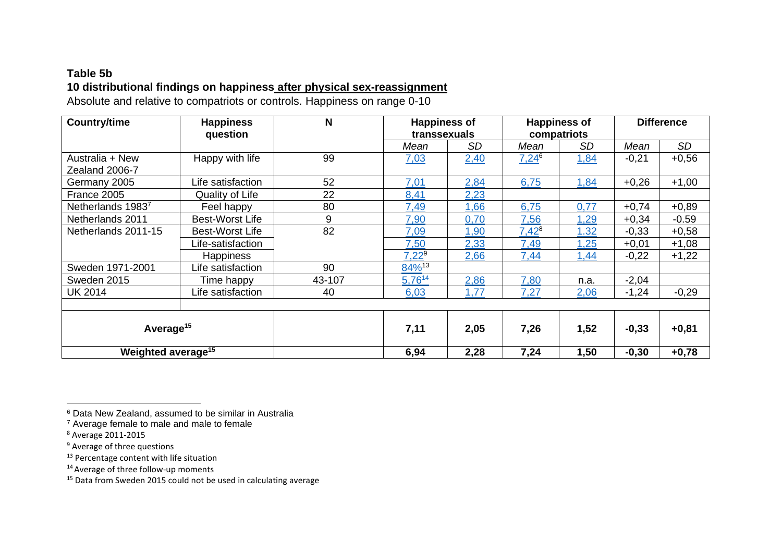# **Table 5b 10 distributional findings on happiness after physical sex-reassignment**

Absolute and relative to compatriots or controls. Happiness on range 0-10

| <b>Country/time</b>            | N<br><b>Happiness of</b><br><b>Happiness</b><br>question<br>transsexuals |        |                      |           | <b>Happiness of</b><br>compatriots | <b>Difference</b> |         |           |
|--------------------------------|--------------------------------------------------------------------------|--------|----------------------|-----------|------------------------------------|-------------------|---------|-----------|
|                                |                                                                          |        | Mean                 | <b>SD</b> | Mean                               | <b>SD</b>         | Mean    | <b>SD</b> |
| Australia + New                | Happy with life                                                          | 99     | 7,03                 | 2,40      | $7,24^6$                           | 1,84              | $-0,21$ | $+0,56$   |
| Zealand 2006-7                 |                                                                          |        |                      |           |                                    |                   |         |           |
| Germany 2005                   | Life satisfaction                                                        | 52     | 7,01                 | 2,84      | 6,75                               | 1,84              | $+0,26$ | $+1,00$   |
| France 2005                    | Quality of Life                                                          | 22     | 8,41                 | 2,23      |                                    |                   |         |           |
| Netherlands 19837              | Feel happy                                                               | 80     | 7,49                 | 1,66      | 6,75                               | 0,77              | $+0,74$ | $+0,89$   |
| Netherlands 2011               | <b>Best-Worst Life</b>                                                   | 9      | 7,90                 | 0,70      | 7,56                               | 1,29              | $+0,34$ | $-0.59$   |
| Netherlands 2011-15            | <b>Best-Worst Life</b>                                                   | 82     | 7,09                 | 1,90      | $7,42^8$                           | 1.32              | $-0,33$ | $+0,58$   |
|                                | Life-satisfaction                                                        |        | 7,50                 | 2,33      | 7,49                               | 1,25              | $+0,01$ | $+1,08$   |
|                                | <b>Happiness</b>                                                         |        | $7,22^9$             | 2,66      | 7,44                               | 1,44              | $-0,22$ | $+1,22$   |
| Sweden 1971-2001               | Life satisfaction                                                        | 90     | $84\%$ <sup>13</sup> |           |                                    |                   |         |           |
| Sweden 2015                    | Time happy                                                               | 43-107 | $5,76^{14}$          | 2,86      | 7,80                               | n.a.              | $-2,04$ |           |
| <b>UK 2014</b>                 | Life satisfaction                                                        | 40     | 6,03                 | 1,77      | 7,27                               | 2,06              | $-1,24$ | $-0,29$   |
|                                |                                                                          |        |                      |           |                                    |                   |         |           |
| Average <sup>15</sup>          |                                                                          |        | 7,11                 | 2,05      | 7,26                               | 1,52              | $-0,33$ | $+0,81$   |
| Weighted average <sup>15</sup> |                                                                          |        | 6,94                 | 2,28      | 7,24                               | 1,50              | $-0,30$ | $+0,78$   |

<span id="page-44-0"></span><sup>6</sup> Data New Zealand, assumed to be similar in Australia

<sup>7</sup> Average female to male and male to female

<sup>8</sup> Average 2011-2015

<sup>&</sup>lt;sup>9</sup> Average of three questions

<sup>&</sup>lt;sup>13</sup> Percentage content with life situation

 $14$  Average of three follow-up moments

<span id="page-44-1"></span><sup>15</sup> Data from Sweden 2015 could not be used in calculating average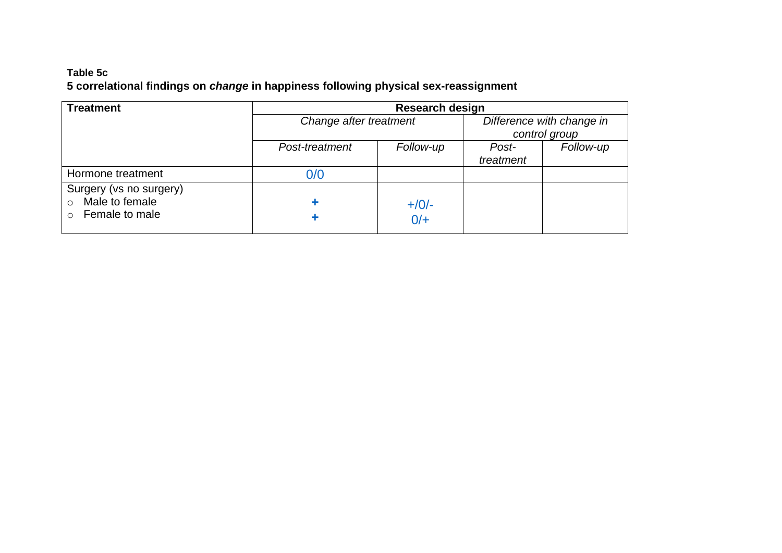## **Table 5c 5 correlational findings on** *change* **in happiness following physical sex-reassignment**

| <b>Treatment</b>                                     | <b>Research design</b> |           |                           |           |  |  |  |
|------------------------------------------------------|------------------------|-----------|---------------------------|-----------|--|--|--|
|                                                      | Change after treatment |           | Difference with change in |           |  |  |  |
|                                                      |                        |           | control group             |           |  |  |  |
|                                                      | Post-treatment         | Follow-up | Post-                     | Follow-up |  |  |  |
|                                                      |                        |           | treatment                 |           |  |  |  |
| Hormone treatment                                    | 0/0                    |           |                           |           |  |  |  |
| Surgery (vs no surgery)<br>Male to female<br>$\circ$ |                        |           |                           |           |  |  |  |
| Female to male<br>$\cap$                             |                        | $+/0/-$   |                           |           |  |  |  |
|                                                      |                        | $0/+$     |                           |           |  |  |  |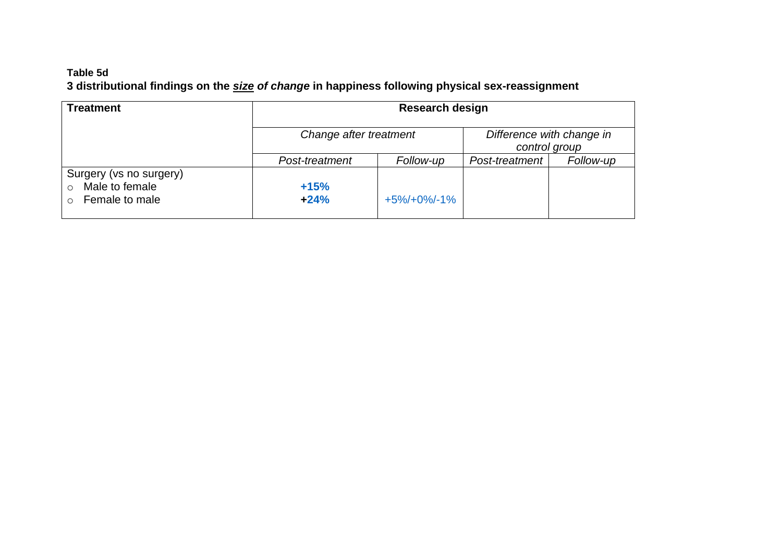## **Table 5d 3 distributional findings on the** *size of change* **in happiness following physical sex-reassignment**

<span id="page-46-0"></span>

| <b>Treatment</b>                                                          | <b>Research design</b> |                                            |                |           |  |  |
|---------------------------------------------------------------------------|------------------------|--------------------------------------------|----------------|-----------|--|--|
|                                                                           | Change after treatment | Difference with change in<br>control group |                |           |  |  |
|                                                                           | Post-treatment         | Follow-up                                  | Post-treatment | Follow-up |  |  |
| Surgery (vs no surgery)<br>Male to female<br>$\bigcirc$<br>Female to male | $+15%$<br>$+24%$       | $+5\%/+0\%/-1\%$                           |                |           |  |  |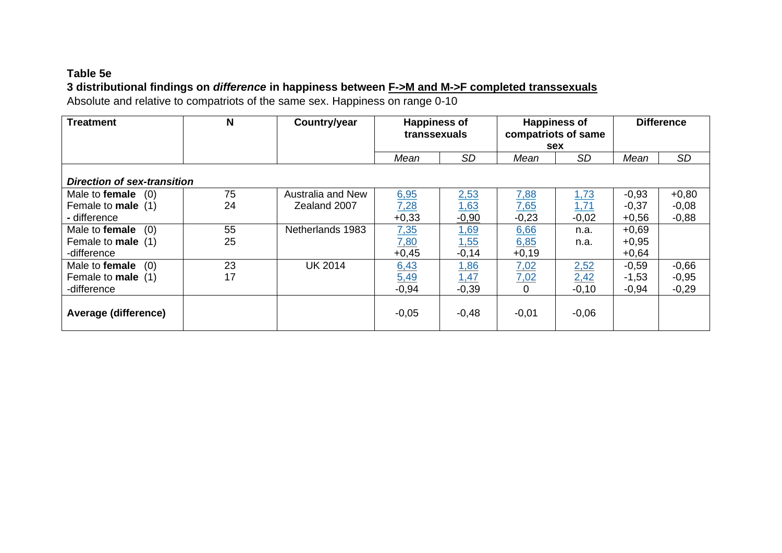# **Table 5e 3 distributional findings on** *difference* **in happiness between F->M and M->F completed transsexuals**

Absolute and relative to compatriots of the same sex. Happiness on range 0-10

<span id="page-47-0"></span>

| <b>Treatment</b>                   | N  | Country/year      | <b>Happiness of</b><br>transsexuals |             | <b>Happiness of</b><br>compatriots of same<br>sex |           | <b>Difference</b> |           |
|------------------------------------|----|-------------------|-------------------------------------|-------------|---------------------------------------------------|-----------|-------------------|-----------|
|                                    |    |                   | Mean                                | <b>SD</b>   | Mean                                              | <b>SD</b> | Mean              | <b>SD</b> |
| <b>Direction of sex-transition</b> |    |                   |                                     |             |                                                   |           |                   |           |
| Male to <b>female</b> $(0)$        | 75 | Australia and New | 6,95                                | 2,53        | <u>7,88</u>                                       | 1,73      | $-0,93$           | $+0,80$   |
| Female to <b>male</b> (1)          | 24 | Zealand 2007      | 7,28                                | 1,63        | 7.65                                              | 1,71      | $-0,37$           | $-0,08$   |
| - difference                       |    |                   | $+0,33$                             | $-0,90$     | $-0,23$                                           | $-0,02$   | $+0,56$           | $-0,88$   |
| Male to female<br>(0)              | 55 | Netherlands 1983  | <u>7,35</u>                         | 1,69        | 6,66                                              | n.a.      | $+0,69$           |           |
| Female to <b>male</b> (1)          | 25 |                   | <u>7,80</u>                         | 1,55        | 6,85                                              | n.a.      | $+0,95$           |           |
| -difference                        |    |                   | $+0,45$                             | $-0,14$     | $+0,19$                                           |           | $+0,64$           |           |
| Male to female<br>(0)              | 23 | <b>UK 2014</b>    | 6,43                                | 1,86        | 7,02                                              | 2,52      | $-0,59$           | $-0,66$   |
| Female to <b>male</b> (1)          | 17 |                   | 5,49                                | <u>1,47</u> | 7,02                                              | 2,42      | $-1,53$           | $-0,95$   |
| -difference                        |    |                   | $-0,94$                             | $-0,39$     | 0                                                 | $-0,10$   | $-0,94$           | $-0,29$   |
| Average (difference)               |    |                   | $-0,05$                             | $-0,48$     | $-0,01$                                           | $-0,06$   |                   |           |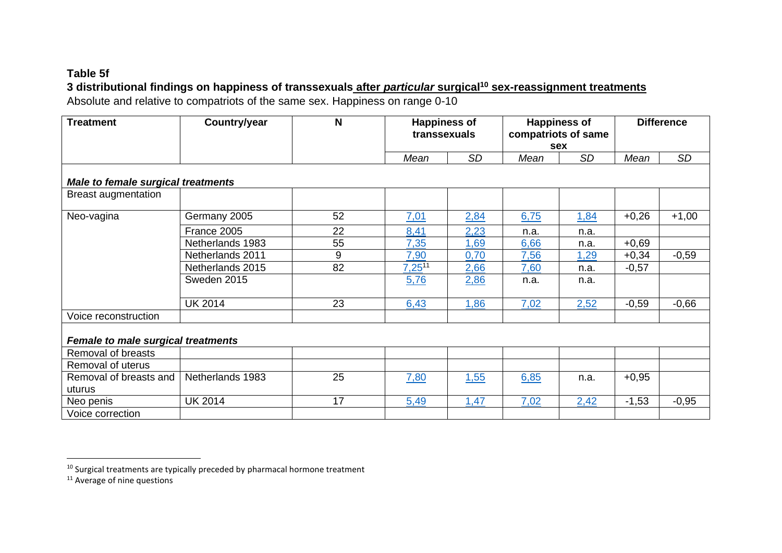## **Table 5f**

## **3 distributional findings on happiness of transsexuals after** *particular* **surgical<sup>10</sup> sex-reassignment treatments**

Absolute and relative to compatriots of the same sex. Happiness on range 0-10

| <b>Treatment</b>                          | Country/year     | N  | <b>Happiness of</b><br>transsexuals |           | <b>Happiness of</b><br>compatriots of same<br>sex |             | <b>Difference</b> |           |
|-------------------------------------------|------------------|----|-------------------------------------|-----------|---------------------------------------------------|-------------|-------------------|-----------|
|                                           |                  |    | Mean                                | <b>SD</b> | Mean                                              | <b>SD</b>   | Mean              | <b>SD</b> |
| <b>Male to female surgical treatments</b> |                  |    |                                     |           |                                                   |             |                   |           |
| <b>Breast augmentation</b>                |                  |    |                                     |           |                                                   |             |                   |           |
| Neo-vagina                                | Germany 2005     | 52 | 7,01                                | 2,84      | 6,75                                              | <u>1,84</u> | $+0,26$           | $+1,00$   |
|                                           | France 2005      | 22 | 8,41                                | 2,23      | n.a.                                              | n.a.        |                   |           |
|                                           | Netherlands 1983 | 55 | 7,35                                | 1,69      | 6,66                                              | n.a.        | $+0,69$           |           |
|                                           | Netherlands 2011 | 9  | 7,90                                | 0,70      | 7,56                                              | 1,29        | $+0,34$           | $-0,59$   |
|                                           | Netherlands 2015 | 82 | $7,25^{11}$                         | 2,66      | 7,60                                              | n.a.        | $-0,57$           |           |
|                                           | Sweden 2015      |    | 5,76                                | 2,86      | n.a.                                              | n.a.        |                   |           |
|                                           | <b>UK 2014</b>   | 23 | 6,43                                | 1,86      | 7,02                                              | 2,52        | $-0,59$           | $-0,66$   |
| Voice reconstruction                      |                  |    |                                     |           |                                                   |             |                   |           |
| <b>Female to male surgical treatments</b> |                  |    |                                     |           |                                                   |             |                   |           |
| Removal of breasts                        |                  |    |                                     |           |                                                   |             |                   |           |
| Removal of uterus                         |                  |    |                                     |           |                                                   |             |                   |           |
| Removal of breasts and<br>uturus          | Netherlands 1983 | 25 | 7,80                                | 1,55      | 6,85                                              | n.a.        | $+0,95$           |           |
| Neo penis                                 | <b>UK 2014</b>   | 17 | 5,49                                | 1,47      | 7,02                                              | 2,42        | $-1,53$           | $-0,95$   |
| Voice correction                          |                  |    |                                     |           |                                                   |             |                   |           |

<span id="page-48-0"></span><sup>&</sup>lt;sup>10</sup> Surgical treatments are typically preceded by pharmacal hormone treatment

 $11$  Average of nine questions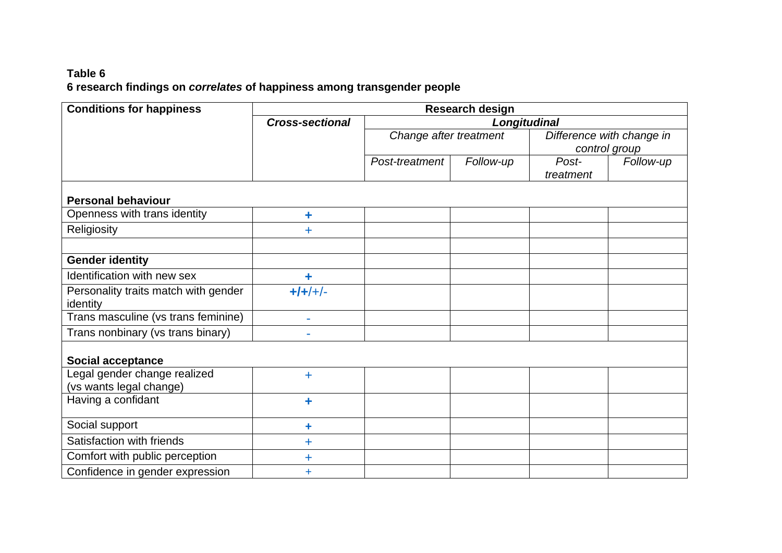# **Table 6 6 research findings on** *correlates* **of happiness among transgender people**

<span id="page-50-0"></span>

| <b>Conditions for happiness</b>                         | <b>Research design</b> |                        |           |                           |           |  |  |
|---------------------------------------------------------|------------------------|------------------------|-----------|---------------------------|-----------|--|--|
|                                                         | <b>Cross-sectional</b> | Longitudinal           |           |                           |           |  |  |
|                                                         |                        | Change after treatment |           | Difference with change in |           |  |  |
|                                                         |                        |                        |           | control group             |           |  |  |
|                                                         |                        | Post-treatment         | Follow-up | Post-                     | Follow-up |  |  |
|                                                         |                        |                        |           | treatment                 |           |  |  |
| <b>Personal behaviour</b>                               |                        |                        |           |                           |           |  |  |
| Openness with trans identity                            | ÷                      |                        |           |                           |           |  |  |
| Religiosity                                             | $\pm$                  |                        |           |                           |           |  |  |
|                                                         |                        |                        |           |                           |           |  |  |
| <b>Gender identity</b>                                  |                        |                        |           |                           |           |  |  |
| Identification with new sex                             | ٠                      |                        |           |                           |           |  |  |
| Personality traits match with gender<br>identity        | $+/-$                  |                        |           |                           |           |  |  |
| Trans masculine (vs trans feminine)                     | L.                     |                        |           |                           |           |  |  |
| Trans nonbinary (vs trans binary)                       |                        |                        |           |                           |           |  |  |
| <b>Social acceptance</b>                                |                        |                        |           |                           |           |  |  |
| Legal gender change realized<br>(vs wants legal change) | $+$                    |                        |           |                           |           |  |  |
| Having a confidant                                      | ٠                      |                        |           |                           |           |  |  |
| Social support                                          | ÷                      |                        |           |                           |           |  |  |
| Satisfaction with friends                               | $\ddot{}$              |                        |           |                           |           |  |  |
| Comfort with public perception                          | ╇                      |                        |           |                           |           |  |  |
| Confidence in gender expression                         | ÷                      |                        |           |                           |           |  |  |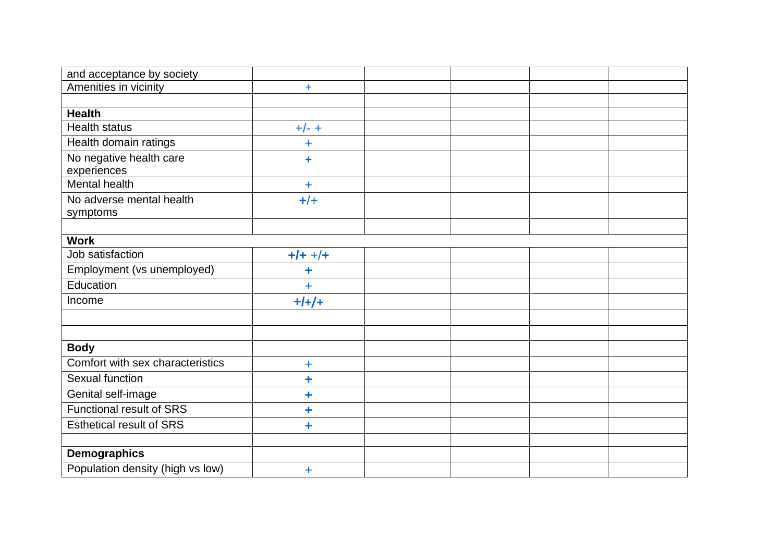| and acceptance by society        |            |  |  |
|----------------------------------|------------|--|--|
| Amenities in vicinity            | $\ddot{}$  |  |  |
|                                  |            |  |  |
| <b>Health</b>                    |            |  |  |
| <b>Health status</b>             | $+/- +$    |  |  |
| Health domain ratings            | ╇          |  |  |
| No negative health care          | $\ddagger$ |  |  |
| experiences                      |            |  |  |
| Mental health                    | $\ddot{}$  |  |  |
| No adverse mental health         | $+/+$      |  |  |
| symptoms                         |            |  |  |
|                                  |            |  |  |
| <b>Work</b>                      |            |  |  |
| Job satisfaction                 | $+/- +/+$  |  |  |
| Employment (vs unemployed)       | ٠          |  |  |
| Education                        | Ŧ          |  |  |
| Income                           | $+/-/+$    |  |  |
|                                  |            |  |  |
|                                  |            |  |  |
| <b>Body</b>                      |            |  |  |
| Comfort with sex characteristics | $\ddot{}$  |  |  |
| Sexual function                  | ٠          |  |  |
| Genital self-image               | ٠          |  |  |
| <b>Functional result of SRS</b>  | ٠          |  |  |
| <b>Esthetical result of SRS</b>  | ÷          |  |  |
|                                  |            |  |  |
| <b>Demographics</b>              |            |  |  |
| Population density (high vs low) | Ŧ          |  |  |